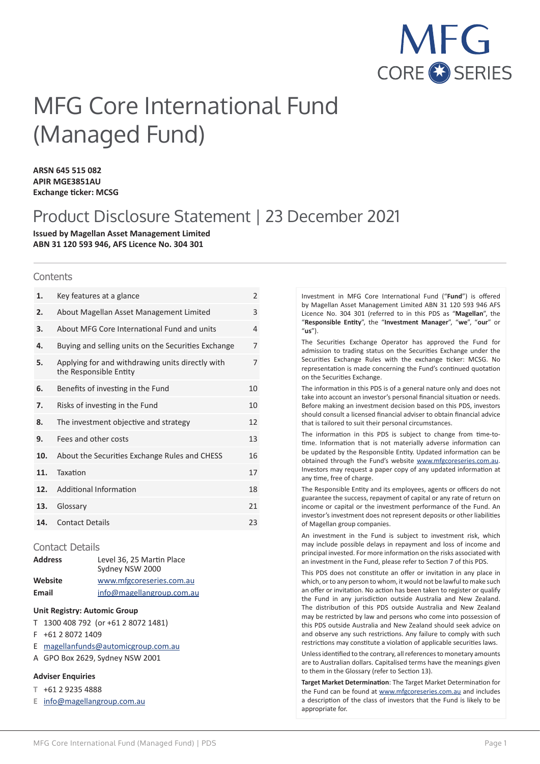

# MFG Core International Fund (Managed Fund)

**ARSN 645 515 082 APIR MGE3851AU Exchange ticker: MCSG**

# Product Disclosure Statement | 23 December 2021

**Issued by Magellan Asset Management Limited ABN 31 120 593 946, AFS Licence No. 304 301**

#### **Contents**

| Key features at a glance                                                   | $\overline{2}$ |
|----------------------------------------------------------------------------|----------------|
| About Magellan Asset Management Limited                                    | 3              |
| About MFG Core International Fund and units                                | 4              |
| Buying and selling units on the Securities Exchange                        | 7              |
| Applying for and withdrawing units directly with<br>the Responsible Entity | 7              |
| Benefits of investing in the Fund                                          | 10             |
| Risks of investing in the Fund                                             | 10             |
| The investment objective and strategy                                      | 12             |
| Fees and other costs                                                       | 13             |
| About the Securities Exchange Rules and CHESS                              | 16             |
| Taxation                                                                   | 17             |
| Additional Information                                                     | 18             |
| Glossary                                                                   | 21             |
| <b>Contact Details</b>                                                     | 23             |
|                                                                            |                |

#### Contact Details

| <b>Address</b> | Level 36, 25 Martin Place<br>Sydney NSW 2000 |
|----------------|----------------------------------------------|
| Website        | www.mfgcoreseries.com.au                     |
| Email          | info@magellangroup.com.au                    |

#### **Unit Registry: Automic Group**

- T 1300 408 792 (or +61 2 8072 1481)
- F +61 2 8072 1409
- E magellanfunds@automicgroup.com.au
- A GPO Box 2629, Sydney NSW 2001

#### **Adviser Enquiries**

- **T** +61 2 9235 4888
- **E** info@magellangroup.com.au

Investment in MFG Core International Fund ("**Fund**") is offered by Magellan Asset Management Limited ABN 31 120 593 946 AFS Licence No. 304 301 (referred to in this PDS as "**Magellan**", the "**Responsible Entity**", the "**Investment Manager**", "**we**", "**our**" or "**us**").

The Securities Exchange Operator has approved the Fund for admission to trading status on the Securities Exchange under the Securities Exchange Rules with the exchange ticker: MCSG. No representation is made concerning the Fund's continued quotation on the Securities Exchange.

The information in this PDS is of a general nature only and does not take into account an investor's personal financial situation or needs. Before making an investment decision based on this PDS, investors should consult a licensed financial adviser to obtain financial advice that is tailored to suit their personal circumstances.

The information in this PDS is subject to change from time-totime. Information that is not materially adverse information can be updated by the Responsible Entity. Updated information can be obtained through the Fund's website www.mfgcoreseries.com.au. Investors may request a paper copy of any updated information at any time, free of charge.

The Responsible Entity and its employees, agents or officers do not guarantee the success, repayment of capital or any rate of return on income or capital or the investment performance of the Fund. An investor's investment does not represent deposits or other liabilities of Magellan group companies.

An investment in the Fund is subject to investment risk, which may include possible delays in repayment and loss of income and principal invested. For more information on the risks associated with an investment in the Fund, please refer to Section 7 of this PDS.

This PDS does not constitute an offer or invitation in any place in which, or to any person to whom, it would not be lawful to make such an offer or invitation. No action has been taken to register or qualify the Fund in any jurisdiction outside Australia and New Zealand. The distribution of this PDS outside Australia and New Zealand may be restricted by law and persons who come into possession of this PDS outside Australia and New Zealand should seek advice on and observe any such restrictions. Any failure to comply with such restrictions may constitute a violation of applicable securities laws.

Unless identified to the contrary, all references to monetary amounts are to Australian dollars. Capitalised terms have the meanings given to them in the Glossary (refer to Section 13).

**Target Market Determination**: The Target Market Determination for the Fund can be found at www.mfgcoreseries.com.au and includes a description of the class of investors that the Fund is likely to be appropriate for.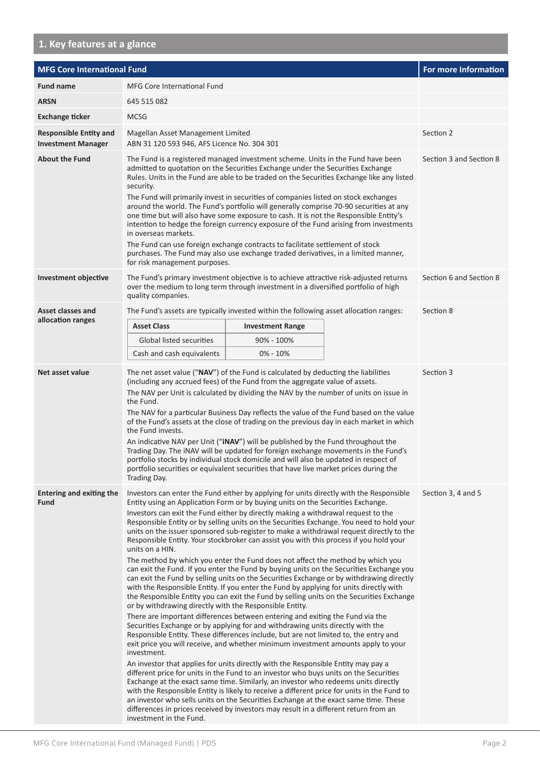# **1. Key features at a glance**

| <b>MFG Core International Fund</b>                         |                                                                                                                                                                                                                                                                                                                                                                                                                                                                                                                                                                                                                                                                                                                                                                                                                                                                                                                                                                                                                                                                                                                                                                                                                                                                                                                                                                                                                                                                                                                                                                                                                                                                                                                                                                                                                                                                                                                                                                                                                                            |                         |                    | For more Information    |
|------------------------------------------------------------|--------------------------------------------------------------------------------------------------------------------------------------------------------------------------------------------------------------------------------------------------------------------------------------------------------------------------------------------------------------------------------------------------------------------------------------------------------------------------------------------------------------------------------------------------------------------------------------------------------------------------------------------------------------------------------------------------------------------------------------------------------------------------------------------------------------------------------------------------------------------------------------------------------------------------------------------------------------------------------------------------------------------------------------------------------------------------------------------------------------------------------------------------------------------------------------------------------------------------------------------------------------------------------------------------------------------------------------------------------------------------------------------------------------------------------------------------------------------------------------------------------------------------------------------------------------------------------------------------------------------------------------------------------------------------------------------------------------------------------------------------------------------------------------------------------------------------------------------------------------------------------------------------------------------------------------------------------------------------------------------------------------------------------------------|-------------------------|--------------------|-------------------------|
| <b>Fund name</b>                                           | <b>MFG Core International Fund</b>                                                                                                                                                                                                                                                                                                                                                                                                                                                                                                                                                                                                                                                                                                                                                                                                                                                                                                                                                                                                                                                                                                                                                                                                                                                                                                                                                                                                                                                                                                                                                                                                                                                                                                                                                                                                                                                                                                                                                                                                         |                         |                    |                         |
| <b>ARSN</b>                                                | 645 515 082                                                                                                                                                                                                                                                                                                                                                                                                                                                                                                                                                                                                                                                                                                                                                                                                                                                                                                                                                                                                                                                                                                                                                                                                                                                                                                                                                                                                                                                                                                                                                                                                                                                                                                                                                                                                                                                                                                                                                                                                                                |                         |                    |                         |
| <b>Exchange ticker</b>                                     | <b>MCSG</b>                                                                                                                                                                                                                                                                                                                                                                                                                                                                                                                                                                                                                                                                                                                                                                                                                                                                                                                                                                                                                                                                                                                                                                                                                                                                                                                                                                                                                                                                                                                                                                                                                                                                                                                                                                                                                                                                                                                                                                                                                                |                         |                    |                         |
| <b>Responsible Entity and</b><br><b>Investment Manager</b> | Magellan Asset Management Limited<br>ABN 31 120 593 946, AFS Licence No. 304 301                                                                                                                                                                                                                                                                                                                                                                                                                                                                                                                                                                                                                                                                                                                                                                                                                                                                                                                                                                                                                                                                                                                                                                                                                                                                                                                                                                                                                                                                                                                                                                                                                                                                                                                                                                                                                                                                                                                                                           |                         |                    | Section 2               |
| <b>About the Fund</b>                                      | The Fund is a registered managed investment scheme. Units in the Fund have been<br>admitted to quotation on the Securities Exchange under the Securities Exchange<br>Rules. Units in the Fund are able to be traded on the Securities Exchange like any listed<br>security.<br>The Fund will primarily invest in securities of companies listed on stock exchanges<br>around the world. The Fund's portfolio will generally comprise 70-90 securities at any<br>one time but will also have some exposure to cash. It is not the Responsible Entity's<br>intention to hedge the foreign currency exposure of the Fund arising from investments<br>in overseas markets.<br>The Fund can use foreign exchange contracts to facilitate settlement of stock<br>purchases. The Fund may also use exchange traded derivatives, in a limited manner,<br>for risk management purposes.                                                                                                                                                                                                                                                                                                                                                                                                                                                                                                                                                                                                                                                                                                                                                                                                                                                                                                                                                                                                                                                                                                                                                             |                         |                    | Section 3 and Section 8 |
| <b>Investment objective</b>                                | The Fund's primary investment objective is to achieve attractive risk-adjusted returns<br>over the medium to long term through investment in a diversified portfolio of high<br>quality companies.                                                                                                                                                                                                                                                                                                                                                                                                                                                                                                                                                                                                                                                                                                                                                                                                                                                                                                                                                                                                                                                                                                                                                                                                                                                                                                                                                                                                                                                                                                                                                                                                                                                                                                                                                                                                                                         |                         |                    | Section 6 and Section 8 |
| Asset classes and                                          | The Fund's assets are typically invested within the following asset allocation ranges:                                                                                                                                                                                                                                                                                                                                                                                                                                                                                                                                                                                                                                                                                                                                                                                                                                                                                                                                                                                                                                                                                                                                                                                                                                                                                                                                                                                                                                                                                                                                                                                                                                                                                                                                                                                                                                                                                                                                                     |                         |                    | Section 8               |
| allocation ranges                                          | <b>Asset Class</b>                                                                                                                                                                                                                                                                                                                                                                                                                                                                                                                                                                                                                                                                                                                                                                                                                                                                                                                                                                                                                                                                                                                                                                                                                                                                                                                                                                                                                                                                                                                                                                                                                                                                                                                                                                                                                                                                                                                                                                                                                         | <b>Investment Range</b> |                    |                         |
|                                                            | <b>Global listed securities</b>                                                                                                                                                                                                                                                                                                                                                                                                                                                                                                                                                                                                                                                                                                                                                                                                                                                                                                                                                                                                                                                                                                                                                                                                                                                                                                                                                                                                                                                                                                                                                                                                                                                                                                                                                                                                                                                                                                                                                                                                            | 90% - 100%              |                    |                         |
|                                                            | Cash and cash equivalents                                                                                                                                                                                                                                                                                                                                                                                                                                                                                                                                                                                                                                                                                                                                                                                                                                                                                                                                                                                                                                                                                                                                                                                                                                                                                                                                                                                                                                                                                                                                                                                                                                                                                                                                                                                                                                                                                                                                                                                                                  | $0\% - 10\%$            |                    |                         |
| Net asset value                                            | The net asset value ("NAV") of the Fund is calculated by deducting the liabilities<br>(including any accrued fees) of the Fund from the aggregate value of assets.<br>The NAV per Unit is calculated by dividing the NAV by the number of units on issue in<br>the Fund.<br>The NAV for a particular Business Day reflects the value of the Fund based on the value<br>of the Fund's assets at the close of trading on the previous day in each market in which<br>the Fund invests.<br>An indicative NAV per Unit ("iNAV") will be published by the Fund throughout the<br>Trading Day. The iNAV will be updated for foreign exchange movements in the Fund's<br>portfolio stocks by individual stock domicile and will also be updated in respect of<br>portfolio securities or equivalent securities that have live market prices during the<br>Trading Day.                                                                                                                                                                                                                                                                                                                                                                                                                                                                                                                                                                                                                                                                                                                                                                                                                                                                                                                                                                                                                                                                                                                                                                            |                         |                    | Section 3               |
| <b>Entering and exiting the</b><br><b>Fund</b>             | Investors can enter the Fund either by applying for units directly with the Responsible<br>Entity using an Application Form or by buying units on the Securities Exchange.<br>Investors can exit the Fund either by directly making a withdrawal request to the<br>Responsible Entity or by selling units on the Securities Exchange. You need to hold your<br>units on the issuer sponsored sub-register to make a withdrawal request directly to the<br>Responsible Entity. Your stockbroker can assist you with this process if you hold your<br>units on a HIN.<br>The method by which you enter the Fund does not affect the method by which you<br>can exit the Fund. If you enter the Fund by buying units on the Securities Exchange you<br>can exit the Fund by selling units on the Securities Exchange or by withdrawing directly<br>with the Responsible Entity. If you enter the Fund by applying for units directly with<br>the Responsible Entity you can exit the Fund by selling units on the Securities Exchange<br>or by withdrawing directly with the Responsible Entity.<br>There are important differences between entering and exiting the Fund via the<br>Securities Exchange or by applying for and withdrawing units directly with the<br>Responsible Entity. These differences include, but are not limited to, the entry and<br>exit price you will receive, and whether minimum investment amounts apply to your<br>investment.<br>An investor that applies for units directly with the Responsible Entity may pay a<br>different price for units in the Fund to an investor who buys units on the Securities<br>Exchange at the exact same time. Similarly, an investor who redeems units directly<br>with the Responsible Entity is likely to receive a different price for units in the Fund to<br>an investor who sells units on the Securities Exchange at the exact same time. These<br>differences in prices received by investors may result in a different return from an<br>investment in the Fund. |                         | Section 3, 4 and 5 |                         |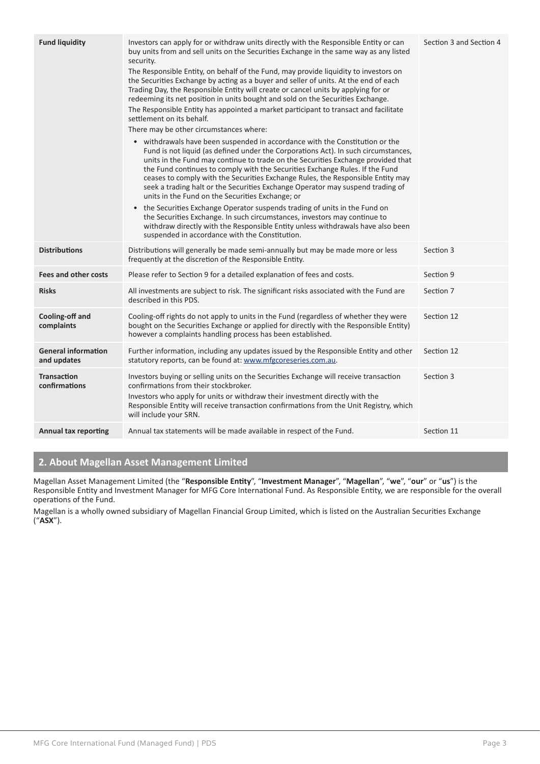| <b>Fund liquidity</b>                     | Investors can apply for or withdraw units directly with the Responsible Entity or can<br>buy units from and sell units on the Securities Exchange in the same way as any listed<br>security.<br>The Responsible Entity, on behalf of the Fund, may provide liquidity to investors on<br>the Securities Exchange by acting as a buyer and seller of units. At the end of each<br>Trading Day, the Responsible Entity will create or cancel units by applying for or<br>redeeming its net position in units bought and sold on the Securities Exchange.<br>The Responsible Entity has appointed a market participant to transact and facilitate<br>settlement on its behalf.<br>There may be other circumstances where:<br>• withdrawals have been suspended in accordance with the Constitution or the<br>Fund is not liquid (as defined under the Corporations Act). In such circumstances,<br>units in the Fund may continue to trade on the Securities Exchange provided that<br>the Fund continues to comply with the Securities Exchange Rules. If the Fund<br>ceases to comply with the Securities Exchange Rules, the Responsible Entity may<br>seek a trading halt or the Securities Exchange Operator may suspend trading of<br>units in the Fund on the Securities Exchange; or<br>• the Securities Exchange Operator suspends trading of units in the Fund on<br>the Securities Exchange. In such circumstances, investors may continue to<br>withdraw directly with the Responsible Entity unless withdrawals have also been<br>suspended in accordance with the Constitution. | Section 3 and Section 4 |
|-------------------------------------------|-------------------------------------------------------------------------------------------------------------------------------------------------------------------------------------------------------------------------------------------------------------------------------------------------------------------------------------------------------------------------------------------------------------------------------------------------------------------------------------------------------------------------------------------------------------------------------------------------------------------------------------------------------------------------------------------------------------------------------------------------------------------------------------------------------------------------------------------------------------------------------------------------------------------------------------------------------------------------------------------------------------------------------------------------------------------------------------------------------------------------------------------------------------------------------------------------------------------------------------------------------------------------------------------------------------------------------------------------------------------------------------------------------------------------------------------------------------------------------------------------------------------------------------------------------------------------------------------|-------------------------|
| <b>Distributions</b>                      | Distributions will generally be made semi-annually but may be made more or less<br>frequently at the discretion of the Responsible Entity.                                                                                                                                                                                                                                                                                                                                                                                                                                                                                                                                                                                                                                                                                                                                                                                                                                                                                                                                                                                                                                                                                                                                                                                                                                                                                                                                                                                                                                                | Section 3               |
| <b>Fees and other costs</b>               | Please refer to Section 9 for a detailed explanation of fees and costs.                                                                                                                                                                                                                                                                                                                                                                                                                                                                                                                                                                                                                                                                                                                                                                                                                                                                                                                                                                                                                                                                                                                                                                                                                                                                                                                                                                                                                                                                                                                   | Section 9               |
| <b>Risks</b>                              | All investments are subject to risk. The significant risks associated with the Fund are<br>described in this PDS.                                                                                                                                                                                                                                                                                                                                                                                                                                                                                                                                                                                                                                                                                                                                                                                                                                                                                                                                                                                                                                                                                                                                                                                                                                                                                                                                                                                                                                                                         | Section 7               |
| Cooling-off and<br>complaints             | Cooling-off rights do not apply to units in the Fund (regardless of whether they were<br>bought on the Securities Exchange or applied for directly with the Responsible Entity)<br>however a complaints handling process has been established.                                                                                                                                                                                                                                                                                                                                                                                                                                                                                                                                                                                                                                                                                                                                                                                                                                                                                                                                                                                                                                                                                                                                                                                                                                                                                                                                            | Section 12              |
| <b>General information</b><br>and updates | Further information, including any updates issued by the Responsible Entity and other<br>statutory reports, can be found at: www.mfgcoreseries.com.au.                                                                                                                                                                                                                                                                                                                                                                                                                                                                                                                                                                                                                                                                                                                                                                                                                                                                                                                                                                                                                                                                                                                                                                                                                                                                                                                                                                                                                                    | Section 12              |
| <b>Transaction</b><br>confirmations       | Investors buying or selling units on the Securities Exchange will receive transaction<br>confirmations from their stockbroker.<br>Investors who apply for units or withdraw their investment directly with the<br>Responsible Entity will receive transaction confirmations from the Unit Registry, which<br>will include your SRN.                                                                                                                                                                                                                                                                                                                                                                                                                                                                                                                                                                                                                                                                                                                                                                                                                                                                                                                                                                                                                                                                                                                                                                                                                                                       | Section 3               |
| <b>Annual tax reporting</b>               | Annual tax statements will be made available in respect of the Fund.                                                                                                                                                                                                                                                                                                                                                                                                                                                                                                                                                                                                                                                                                                                                                                                                                                                                                                                                                                                                                                                                                                                                                                                                                                                                                                                                                                                                                                                                                                                      | Section 11              |

# **2. About Magellan Asset Management Limited**

Magellan Asset Management Limited (the "**Responsible Entity**", "**Investment Manager**", "**Magellan**", "**we**", "**our**" or "**us**") is the Responsible Entity and Investment Manager for MFG Core International Fund. As Responsible Entity, we are responsible for the overall operations of the Fund.

Magellan is a wholly owned subsidiary of Magellan Financial Group Limited, which is listed on the Australian Securities Exchange ("**ASX**").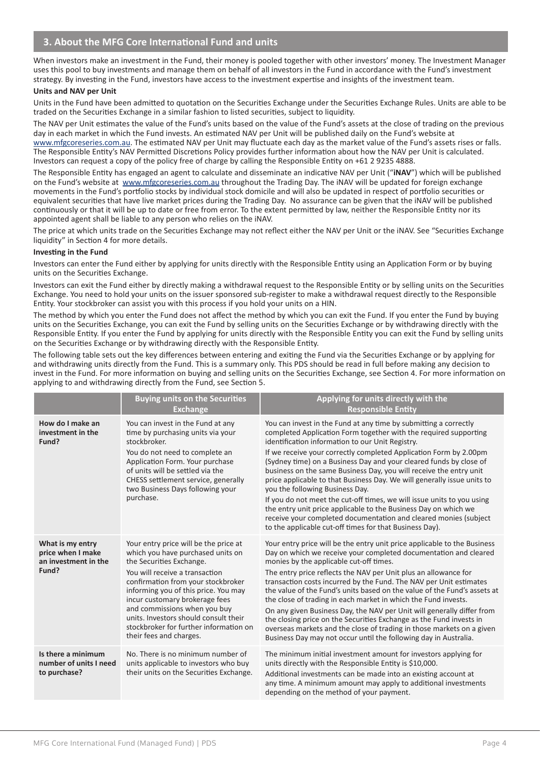When investors make an investment in the Fund, their money is pooled together with other investors' money. The Investment Manager uses this pool to buy investments and manage them on behalf of all investors in the Fund in accordance with the Fund's investment strategy. By investing in the Fund, investors have access to the investment expertise and insights of the investment team.

#### **Units and NAV per Unit**

Units in the Fund have been admitted to quotation on the Securities Exchange under the Securities Exchange Rules. Units are able to be traded on the Securities Exchange in a similar fashion to listed securities, subject to liquidity.

The NAV per Unit estimates the value of the Fund's units based on the value of the Fund's assets at the close of trading on the previous day in each market in which the Fund invests. An estimated NAV per Unit will be published daily on the Fund's website at www.mfgcoreseries.com.au. The estimated NAV per Unit may fluctuate each day as the market value of the Fund's assets rises or falls. The Responsible Entity's NAV Permitted Discretions Policy provides further information about how the NAV per Unit is calculated. Investors can request a copy of the policy free of charge by calling the Responsible Entity on +61 2 9235 4888.

The Responsible Entity has engaged an agent to calculate and disseminate an indicative NAV per Unit ("**iNAV**") which will be published on the Fund's website at www.mfgcoreseries.com.au throughout the Trading Day. The iNAV will be updated for foreign exchange movements in the Fund's portfolio stocks by individual stock domicile and will also be updated in respect of portfolio securities or equivalent securities that have live market prices during the Trading Day. No assurance can be given that the iNAV will be published continuously or that it will be up to date or free from error. To the extent permitted by law, neither the Responsible Entity nor its appointed agent shall be liable to any person who relies on the iNAV.

The price at which units trade on the Securities Exchange may not reflect either the NAV per Unit or the iNAV. See "Securities Exchange liquidity" in Section 4 for more details.

#### **Investing in the Fund**

Investors can enter the Fund either by applying for units directly with the Responsible Entity using an Application Form or by buying units on the Securities Exchange.

Investors can exit the Fund either by directly making a withdrawal request to the Responsible Entity or by selling units on the Securities Exchange. You need to hold your units on the issuer sponsored sub-register to make a withdrawal request directly to the Responsible Entity. Your stockbroker can assist you with this process if you hold your units on a HIN.

The method by which you enter the Fund does not affect the method by which you can exit the Fund. If you enter the Fund by buying units on the Securities Exchange, you can exit the Fund by selling units on the Securities Exchange or by withdrawing directly with the Responsible Entity. If you enter the Fund by applying for units directly with the Responsible Entity you can exit the Fund by selling units on the Securities Exchange or by withdrawing directly with the Responsible Entity.

The following table sets out the key differences between entering and exiting the Fund via the Securities Exchange or by applying for and withdrawing units directly from the Fund. This is a summary only. This PDS should be read in full before making any decision to invest in the Fund. For more information on buying and selling units on the Securities Exchange, see Section 4. For more information on applying to and withdrawing directly from the Fund, see Section 5.

|                                                                        | <b>Buying units on the Securities</b><br><b>Exchange</b>                                                                                                                                                                                                                                                                                                                                               | Applying for units directly with the<br><b>Responsible Entity</b>                                                                                                                                                                                                                                                                                                                                                                                                                                                                                                                                                                                                                                                                                                                                   |
|------------------------------------------------------------------------|--------------------------------------------------------------------------------------------------------------------------------------------------------------------------------------------------------------------------------------------------------------------------------------------------------------------------------------------------------------------------------------------------------|-----------------------------------------------------------------------------------------------------------------------------------------------------------------------------------------------------------------------------------------------------------------------------------------------------------------------------------------------------------------------------------------------------------------------------------------------------------------------------------------------------------------------------------------------------------------------------------------------------------------------------------------------------------------------------------------------------------------------------------------------------------------------------------------------------|
| How do I make an<br>investment in the<br>Fund?                         | You can invest in the Fund at any<br>time by purchasing units via your<br>stockbroker.<br>You do not need to complete an<br>Application Form. Your purchase<br>of units will be settled via the<br>CHESS settlement service, generally<br>two Business Days following your<br>purchase.                                                                                                                | You can invest in the Fund at any time by submitting a correctly<br>completed Application Form together with the required supporting<br>identification information to our Unit Registry.<br>If we receive your correctly completed Application Form by 2.00pm<br>(Sydney time) on a Business Day and your cleared funds by close of<br>business on the same Business Day, you will receive the entry unit<br>price applicable to that Business Day. We will generally issue units to<br>you the following Business Day.<br>If you do not meet the cut-off times, we will issue units to you using<br>the entry unit price applicable to the Business Day on which we<br>receive your completed documentation and cleared monies (subject<br>to the applicable cut-off times for that Business Day). |
| What is my entry<br>price when I make<br>an investment in the<br>Fund? | Your entry price will be the price at<br>which you have purchased units on<br>the Securities Exchange.<br>You will receive a transaction<br>confirmation from your stockbroker<br>informing you of this price. You may<br>incur customary brokerage fees<br>and commissions when you buy<br>units. Investors should consult their<br>stockbroker for further information on<br>their fees and charges. | Your entry price will be the entry unit price applicable to the Business<br>Day on which we receive your completed documentation and cleared<br>monies by the applicable cut-off times.<br>The entry price reflects the NAV per Unit plus an allowance for<br>transaction costs incurred by the Fund. The NAV per Unit estimates<br>the value of the Fund's units based on the value of the Fund's assets at<br>the close of trading in each market in which the Fund invests.<br>On any given Business Day, the NAV per Unit will generally differ from<br>the closing price on the Securities Exchange as the Fund invests in<br>overseas markets and the close of trading in those markets on a given<br>Business Day may not occur until the following day in Australia.                        |
| Is there a minimum<br>number of units I need<br>to purchase?           | No. There is no minimum number of<br>units applicable to investors who buy<br>their units on the Securities Exchange.                                                                                                                                                                                                                                                                                  | The minimum initial investment amount for investors applying for<br>units directly with the Responsible Entity is \$10,000.<br>Additional investments can be made into an existing account at<br>any time. A minimum amount may apply to additional investments<br>depending on the method of your payment.                                                                                                                                                                                                                                                                                                                                                                                                                                                                                         |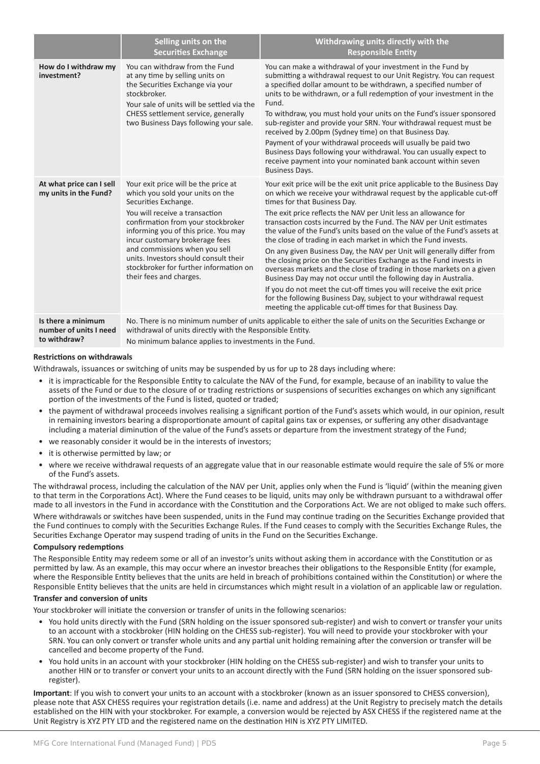|                                                              | Selling units on the<br><b>Securities Exchange</b>                                                                                                                                                                                                                                                                                                                                                | Withdrawing units directly with the<br><b>Responsible Entity</b>                                                                                                                                                                                                                                                                                                                                                                                                                                                                                                                                                                                                                                                                                                                                                                                                                                                                                                                     |  |
|--------------------------------------------------------------|---------------------------------------------------------------------------------------------------------------------------------------------------------------------------------------------------------------------------------------------------------------------------------------------------------------------------------------------------------------------------------------------------|--------------------------------------------------------------------------------------------------------------------------------------------------------------------------------------------------------------------------------------------------------------------------------------------------------------------------------------------------------------------------------------------------------------------------------------------------------------------------------------------------------------------------------------------------------------------------------------------------------------------------------------------------------------------------------------------------------------------------------------------------------------------------------------------------------------------------------------------------------------------------------------------------------------------------------------------------------------------------------------|--|
| How do I withdraw my<br>investment?                          | You can withdraw from the Fund<br>at any time by selling units on<br>the Securities Exchange via your<br>stockbroker.<br>Your sale of units will be settled via the<br>CHESS settlement service, generally<br>two Business Days following your sale.                                                                                                                                              | You can make a withdrawal of your investment in the Fund by<br>submitting a withdrawal request to our Unit Registry. You can request<br>a specified dollar amount to be withdrawn, a specified number of<br>units to be withdrawn, or a full redemption of your investment in the<br>Fund.<br>To withdraw, you must hold your units on the Fund's issuer sponsored<br>sub-register and provide your SRN. Your withdrawal request must be<br>received by 2.00pm (Sydney time) on that Business Day.<br>Payment of your withdrawal proceeds will usually be paid two<br>Business Days following your withdrawal. You can usually expect to<br>receive payment into your nominated bank account within seven<br><b>Business Days.</b>                                                                                                                                                                                                                                                   |  |
| At what price can I sell<br>my units in the Fund?            | Your exit price will be the price at<br>which you sold your units on the<br>Securities Exchange.<br>You will receive a transaction<br>confirmation from your stockbroker<br>informing you of this price. You may<br>incur customary brokerage fees<br>and commissions when you sell<br>units. Investors should consult their<br>stockbroker for further information on<br>their fees and charges. | Your exit price will be the exit unit price applicable to the Business Day<br>on which we receive your withdrawal request by the applicable cut-off<br>times for that Business Day.<br>The exit price reflects the NAV per Unit less an allowance for<br>transaction costs incurred by the Fund. The NAV per Unit estimates<br>the value of the Fund's units based on the value of the Fund's assets at<br>the close of trading in each market in which the Fund invests.<br>On any given Business Day, the NAV per Unit will generally differ from<br>the closing price on the Securities Exchange as the Fund invests in<br>overseas markets and the close of trading in those markets on a given<br>Business Day may not occur until the following day in Australia.<br>If you do not meet the cut-off times you will receive the exit price<br>for the following Business Day, subject to your withdrawal request<br>meeting the applicable cut-off times for that Business Day. |  |
| Is there a minimum<br>number of units I need<br>to withdraw? | No. There is no minimum number of units applicable to either the sale of units on the Securities Exchange or<br>withdrawal of units directly with the Responsible Entity.<br>No minimum balance applies to investments in the Fund.                                                                                                                                                               |                                                                                                                                                                                                                                                                                                                                                                                                                                                                                                                                                                                                                                                                                                                                                                                                                                                                                                                                                                                      |  |

#### **Restrictions on withdrawals**

Withdrawals, issuances or switching of units may be suspended by us for up to 28 days including where:

- it is impracticable for the Responsible Entity to calculate the NAV of the Fund, for example, because of an inability to value the assets of the Fund or due to the closure of or trading restrictions or suspensions of securities exchanges on which any significant portion of the investments of the Fund is listed, quoted or traded;
- the payment of withdrawal proceeds involves realising a significant portion of the Fund's assets which would, in our opinion, result in remaining investors bearing a disproportionate amount of capital gains tax or expenses, or suffering any other disadvantage including a material diminution of the value of the Fund's assets or departure from the investment strategy of the Fund;
- we reasonably consider it would be in the interests of investors;
- it is otherwise permitted by law; or
- where we receive withdrawal requests of an aggregate value that in our reasonable estimate would require the sale of 5% or more of the Fund's assets.

The withdrawal process, including the calculation of the NAV per Unit, applies only when the Fund is 'liquid' (within the meaning given to that term in the Corporations Act). Where the Fund ceases to be liquid, units may only be withdrawn pursuant to a withdrawal offer made to all investors in the Fund in accordance with the Constitution and the Corporations Act. We are not obliged to make such offers.

Where withdrawals or switches have been suspended, units in the Fund may continue trading on the Securities Exchange provided that the Fund continues to comply with the Securities Exchange Rules. If the Fund ceases to comply with the Securities Exchange Rules, the Securities Exchange Operator may suspend trading of units in the Fund on the Securities Exchange.

#### **Compulsory redemptions**

The Responsible Entity may redeem some or all of an investor's units without asking them in accordance with the Constitution or as permitted by law. As an example, this may occur where an investor breaches their obligations to the Responsible Entity (for example, where the Responsible Entity believes that the units are held in breach of prohibitions contained within the Constitution) or where the Responsible Entity believes that the units are held in circumstances which might result in a violation of an applicable law or regulation.

#### **Transfer and conversion of units**

Your stockbroker will initiate the conversion or transfer of units in the following scenarios:

- You hold units directly with the Fund (SRN holding on the issuer sponsored sub-register) and wish to convert or transfer your units to an account with a stockbroker (HIN holding on the CHESS sub-register). You will need to provide your stockbroker with your SRN. You can only convert or transfer whole units and any partial unit holding remaining after the conversion or transfer will be cancelled and become property of the Fund.
- You hold units in an account with your stockbroker (HIN holding on the CHESS sub-register) and wish to transfer your units to another HIN or to transfer or convert your units to an account directly with the Fund (SRN holding on the issuer sponsored subregister).

**Important**: If you wish to convert your units to an account with a stockbroker (known as an issuer sponsored to CHESS conversion), please note that ASX CHESS requires your registration details (i.e. name and address) at the Unit Registry to precisely match the details established on the HIN with your stockbroker. For example, a conversion would be rejected by ASX CHESS if the registered name at the Unit Registry is XYZ PTY LTD and the registered name on the destination HIN is XYZ PTY LIMITED.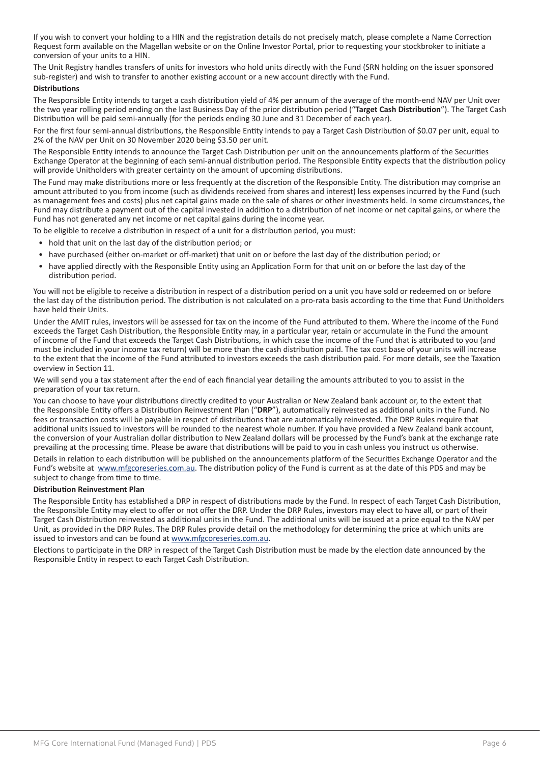If you wish to convert your holding to a HIN and the registration details do not precisely match, please complete a Name Correction Request form available on the Magellan website or on the Online Investor Portal, prior to requesting your stockbroker to initiate a conversion of your units to a HIN.

The Unit Registry handles transfers of units for investors who hold units directly with the Fund (SRN holding on the issuer sponsored sub-register) and wish to transfer to another existing account or a new account directly with the Fund.

#### **Distributions**

The Responsible Entity intends to target a cash distribution yield of 4% per annum of the average of the month-end NAV per Unit over the two year rolling period ending on the last Business Day of the prior distribution period ("**Target Cash Distribution**"). The Target Cash Distribution will be paid semi-annually (for the periods ending 30 June and 31 December of each year).

For the first four semi-annual distributions, the Responsible Entity intends to pay a Target Cash Distribution of \$0.07 per unit, equal to 2% of the NAV per Unit on 30 November 2020 being \$3.50 per unit.

The Responsible Entity intends to announce the Target Cash Distribution per unit on the announcements platform of the Securities Exchange Operator at the beginning of each semi-annual distribution period. The Responsible Entity expects that the distribution policy will provide Unitholders with greater certainty on the amount of upcoming distributions.

The Fund may make distributions more or less frequently at the discretion of the Responsible Entity. The distribution may comprise an amount attributed to you from income (such as dividends received from shares and interest) less expenses incurred by the Fund (such as management fees and costs) plus net capital gains made on the sale of shares or other investments held. In some circumstances, the Fund may distribute a payment out of the capital invested in addition to a distribution of net income or net capital gains, or where the Fund has not generated any net income or net capital gains during the income year.

To be eligible to receive a distribution in respect of a unit for a distribution period, you must:

- hold that unit on the last day of the distribution period; or
- have purchased (either on-market or off-market) that unit on or before the last day of the distribution period; or
- have applied directly with the Responsible Entity using an Application Form for that unit on or before the last day of the distribution period.

You will not be eligible to receive a distribution in respect of a distribution period on a unit you have sold or redeemed on or before the last day of the distribution period. The distribution is not calculated on a pro-rata basis according to the time that Fund Unitholders have held their Units.

Under the AMIT rules, investors will be assessed for tax on the income of the Fund attributed to them. Where the income of the Fund exceeds the Target Cash Distribution, the Responsible Entity may, in a particular year, retain or accumulate in the Fund the amount of income of the Fund that exceeds the Target Cash Distributions, in which case the income of the Fund that is attributed to you (and must be included in your income tax return) will be more than the cash distribution paid. The tax cost base of your units will increase to the extent that the income of the Fund attributed to investors exceeds the cash distribution paid. For more details, see the Taxation overview in Section 11.

We will send you a tax statement after the end of each financial year detailing the amounts attributed to you to assist in the preparation of your tax return.

You can choose to have your distributions directly credited to your Australian or New Zealand bank account or, to the extent that the Responsible Entity offers a Distribution Reinvestment Plan ("**DRP**"), automatically reinvested as additional units in the Fund. No fees or transaction costs will be payable in respect of distributions that are automatically reinvested. The DRP Rules require that additional units issued to investors will be rounded to the nearest whole number. If you have provided a New Zealand bank account, the conversion of your Australian dollar distribution to New Zealand dollars will be processed by the Fund's bank at the exchange rate prevailing at the processing time. Please be aware that distributions will be paid to you in cash unless you instruct us otherwise.

Details in relation to each distribution will be published on the announcements platform of the Securities Exchange Operator and the Fund's website at www.mfgcoreseries.com.au. The distribution policy of the Fund is current as at the date of this PDS and may be subject to change from time to time.

#### **Distribution Reinvestment Plan**

The Responsible Entity has established a DRP in respect of distributions made by the Fund. In respect of each Target Cash Distribution, the Responsible Entity may elect to offer or not offer the DRP. Under the DRP Rules, investors may elect to have all, or part of their Target Cash Distribution reinvested as additional units in the Fund. The additional units will be issued at a price equal to the NAV per Unit, as provided in the DRP Rules. The DRP Rules provide detail on the methodology for determining the price at which units are issued to investors and can be found at www.mfgcoreseries.com.au.

Elections to participate in the DRP in respect of the Target Cash Distribution must be made by the election date announced by the Responsible Entity in respect to each Target Cash Distribution.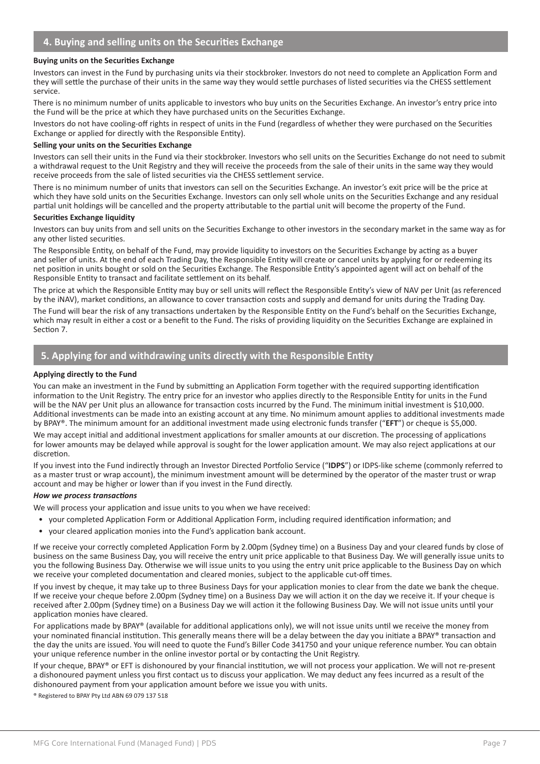#### **Buying units on the Securities Exchange**

Investors can invest in the Fund by purchasing units via their stockbroker. Investors do not need to complete an Application Form and they will settle the purchase of their units in the same way they would settle purchases of listed securities via the CHESS settlement service.

There is no minimum number of units applicable to investors who buy units on the Securities Exchange. An investor's entry price into the Fund will be the price at which they have purchased units on the Securities Exchange.

Investors do not have cooling-off rights in respect of units in the Fund (regardless of whether they were purchased on the Securities Exchange or applied for directly with the Responsible Entity).

#### **Selling your units on the Securities Exchange**

Investors can sell their units in the Fund via their stockbroker. Investors who sell units on the Securities Exchange do not need to submit a withdrawal request to the Unit Registry and they will receive the proceeds from the sale of their units in the same way they would receive proceeds from the sale of listed securities via the CHESS settlement service.

There is no minimum number of units that investors can sell on the Securities Exchange. An investor's exit price will be the price at which they have sold units on the Securities Exchange. Investors can only sell whole units on the Securities Exchange and any residual partial unit holdings will be cancelled and the property attributable to the partial unit will become the property of the Fund.

#### **Securities Exchange liquidity**

Investors can buy units from and sell units on the Securities Exchange to other investors in the secondary market in the same way as for any other listed securities.

The Responsible Entity, on behalf of the Fund, may provide liquidity to investors on the Securities Exchange by acting as a buyer and seller of units. At the end of each Trading Day, the Responsible Entity will create or cancel units by applying for or redeeming its net position in units bought or sold on the Securities Exchange. The Responsible Entity's appointed agent will act on behalf of the Responsible Entity to transact and facilitate settlement on its behalf.

The price at which the Responsible Entity may buy or sell units will reflect the Responsible Entity's view of NAV per Unit (as referenced by the iNAV), market conditions, an allowance to cover transaction costs and supply and demand for units during the Trading Day.

The Fund will bear the risk of any transactions undertaken by the Responsible Entity on the Fund's behalf on the Securities Exchange, which may result in either a cost or a benefit to the Fund. The risks of providing liquidity on the Securities Exchange are explained in Section 7.

### 5. Applying for and withdrawing units directly with the Responsible Entity

#### **Applying directly to the Fund**

You can make an investment in the Fund by submitting an Application Form together with the required supporting identification information to the Unit Registry. The entry price for an investor who applies directly to the Responsible Entity for units in the Fund will be the NAV per Unit plus an allowance for transaction costs incurred by the Fund. The minimum initial investment is \$10,000. Additional investments can be made into an existing account at any time. No minimum amount applies to additional investments made by BPAY®. The minimum amount for an additional investment made using electronic funds transfer ("**EFT**") or cheque is \$5,000.

We may accept initial and additional investment applications for smaller amounts at our discretion. The processing of applications for lower amounts may be delayed while approval is sought for the lower application amount. We may also reject applications at our discretion.

If you invest into the Fund indirectly through an Investor Directed Portfolio Service ("**IDPS**") or IDPS-like scheme (commonly referred to as a master trust or wrap account), the minimum investment amount will be determined by the operator of the master trust or wrap account and may be higher or lower than if you invest in the Fund directly.

#### *How we process transactions*

We will process your application and issue units to you when we have received:

- your completed Application Form or Additional Application Form, including required identification information; and
- your cleared application monies into the Fund's application bank account.

If we receive your correctly completed Application Form by 2.00pm (Sydney time) on a Business Day and your cleared funds by close of business on the same Business Day, you will receive the entry unit price applicable to that Business Day. We will generally issue units to you the following Business Day. Otherwise we will issue units to you using the entry unit price applicable to the Business Day on which we receive your completed documentation and cleared monies, subject to the applicable cut-off times.

If you invest by cheque, it may take up to three Business Days for your application monies to clear from the date we bank the cheque. If we receive your cheque before 2.00pm (Sydney time) on a Business Day we will action it on the day we receive it. If your cheque is received after 2.00pm (Sydney time) on a Business Day we will action it the following Business Day. We will not issue units until your application monies have cleared.

For applications made by BPAY® (available for additional applications only), we will not issue units until we receive the money from your nominated financial institution. This generally means there will be a delay between the day you initiate a BPAY® transaction and the day the units are issued. You will need to quote the Fund's Biller Code 341750 and your unique reference number. You can obtain your unique reference number in the online investor portal or by contacting the Unit Registry.

If your cheque, BPAY® or EFT is dishonoured by your financial institution, we will not process your application. We will not re-present a dishonoured payment unless you first contact us to discuss your application. We may deduct any fees incurred as a result of the dishonoured payment from your application amount before we issue you with units.

® Registered to BPAY Pty Ltd ABN 69 079 137 518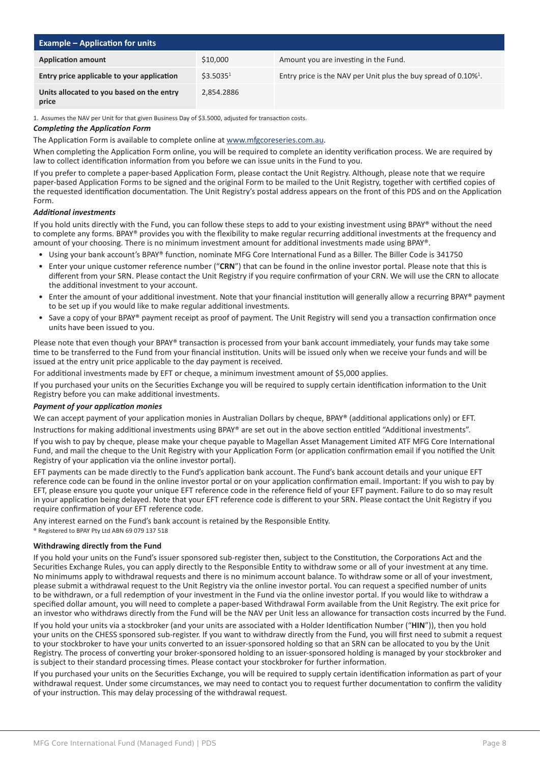| <b>Example – Application for units</b>             |                       |                                                                                |
|----------------------------------------------------|-----------------------|--------------------------------------------------------------------------------|
| <b>Application amount</b>                          | \$10,000              | Amount you are investing in the Fund.                                          |
| Entry price applicable to your application         | \$3.5035 <sup>1</sup> | Entry price is the NAV per Unit plus the buy spread of $0.10\%$ <sup>1</sup> . |
| Units allocated to you based on the entry<br>price | 2.854.2886            |                                                                                |

1. Assumes the NAV per Unit for that given Business Day of \$3.5000, adjusted for transaction costs.

#### *Completing the Application Form*

The Application Form is available to complete online at www.mfgcoreseries.com.au.

When completing the Application Form online, you will be required to complete an identity verification process. We are required by law to collect identification information from you before we can issue units in the Fund to you.

If you prefer to complete a paper-based Application Form, please contact the Unit Registry. Although, please note that we require paper-based Application Forms to be signed and the original Form to be mailed to the Unit Registry, together with certified copies of the requested identification documentation. The Unit Registry's postal address appears on the front of this PDS and on the Application Form.

#### *Additional investments*

If you hold units directly with the Fund, you can follow these steps to add to your existing investment using BPAY® without the need to complete any forms. BPAY® provides you with the flexibility to make regular recurring additional investments at the frequency and amount of your choosing. There is no minimum investment amount for additional investments made using BPAY®.

- Using your bank account's BPAY® function, nominate MFG Core International Fund as a Biller. The Biller Code is 341750
- Enter your unique customer reference number ("**CRN**") that can be found in the online investor portal. Please note that this is different from your SRN. Please contact the Unit Registry if you require confirmation of your CRN. We will use the CRN to allocate the additional investment to your account.
- Enter the amount of your additional investment. Note that your financial institution will generally allow a recurring BPAY® payment to be set up if you would like to make regular additional investments.
- Save a copy of your BPAY® payment receipt as proof of payment. The Unit Registry will send you a transaction confirmation once units have been issued to you.

Please note that even though your BPAY® transaction is processed from your bank account immediately, your funds may take some time to be transferred to the Fund from your financial institution. Units will be issued only when we receive your funds and will be issued at the entry unit price applicable to the day payment is received.

For additional investments made by EFT or cheque, a minimum investment amount of \$5,000 applies.

If you purchased your units on the Securities Exchange you will be required to supply certain identification information to the Unit Registry before you can make additional investments.

#### *Payment of your application monies*

We can accept payment of your application monies in Australian Dollars by cheque, BPAY® (additional applications only) or EFT.

Instructions for making additional investments using BPAY® are set out in the above section entitled "Additional investments".

If you wish to pay by cheque, please make your cheque payable to Magellan Asset Management Limited ATF MFG Core International Fund, and mail the cheque to the Unit Registry with your Application Form (or application confirmation email if you notified the Unit Registry of your application via the online investor portal).

EFT payments can be made directly to the Fund's application bank account. The Fund's bank account details and your unique EFT reference code can be found in the online investor portal or on your application confirmation email. Important: If you wish to pay by EFT, please ensure you quote your unique EFT reference code in the reference field of your EFT payment. Failure to do so may result in your application being delayed. Note that your EFT reference code is different to your SRN. Please contact the Unit Registry if you require confirmation of your EFT reference code.

Any interest earned on the Fund's bank account is retained by the Responsible Entity.

® Registered to BPAY Pty Ltd ABN 69 079 137 518

#### **Withdrawing directly from the Fund**

If you hold your units on the Fund's issuer sponsored sub-register then, subject to the Constitution, the Corporations Act and the Securities Exchange Rules, you can apply directly to the Responsible Entity to withdraw some or all of your investment at any time. No minimums apply to withdrawal requests and there is no minimum account balance. To withdraw some or all of your investment, please submit a withdrawal request to the Unit Registry via the online investor portal. You can request a specified number of units to be withdrawn, or a full redemption of your investment in the Fund via the online investor portal. If you would like to withdraw a specified dollar amount, you will need to complete a paper-based Withdrawal Form available from the Unit Registry. The exit price for an investor who withdraws directly from the Fund will be the NAV per Unit less an allowance for transaction costs incurred by the Fund.

If you hold your units via a stockbroker (and your units are associated with a Holder Identification Number ("**HIN**")), then you hold your units on the CHESS sponsored sub-register. If you want to withdraw directly from the Fund, you will first need to submit a request to your stockbroker to have your units converted to an issuer-sponsored holding so that an SRN can be allocated to you by the Unit Registry. The process of converting your broker-sponsored holding to an issuer-sponsored holding is managed by your stockbroker and is subject to their standard processing times. Please contact your stockbroker for further information.

If you purchased your units on the Securities Exchange, you will be required to supply certain identification information as part of your withdrawal request. Under some circumstances, we may need to contact you to request further documentation to confirm the validity of your instruction. This may delay processing of the withdrawal request.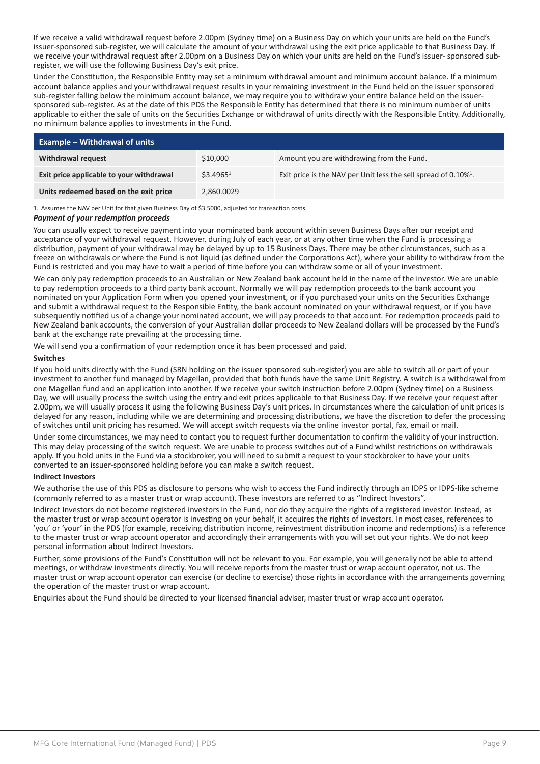If we receive a valid withdrawal request before 2.00pm (Sydney time) on a Business Day on which your units are held on the Fund's issuer-sponsored sub-register, we will calculate the amount of your withdrawal using the exit price applicable to that Business Day. If we receive your withdrawal request after 2.00pm on a Business Day on which your units are held on the Fund's issuer- sponsored subregister, we will use the following Business Day's exit price.

Under the Constitution, the Responsible Entity may set a minimum withdrawal amount and minimum account balance. If a minimum account balance applies and your withdrawal request results in your remaining investment in the Fund held on the issuer sponsored sub-register falling below the minimum account balance, we may require you to withdraw your entire balance held on the issuersponsored sub-register. As at the date of this PDS the Responsible Entity has determined that there is no minimum number of units applicable to either the sale of units on the Securities Exchange or withdrawal of units directly with the Responsible Entity. Additionally, no minimum balance applies to investments in the Fund.

| <b>Example - Withdrawal of units</b>     |                       |                                                                                |
|------------------------------------------|-----------------------|--------------------------------------------------------------------------------|
| Withdrawal request                       | \$10,000              | Amount you are withdrawing from the Fund.                                      |
| Exit price applicable to your withdrawal | \$3.4965 <sup>1</sup> | Exit price is the NAV per Unit less the sell spread of $0.10\%$ <sup>1</sup> . |
| Units redeemed based on the exit price   | 2,860.0029            |                                                                                |

1. Assumes the NAV per Unit for that given Business Day of \$3.5000, adjusted for transaction costs.

#### *Payment of your redemption proceeds*

You can usually expect to receive payment into your nominated bank account within seven Business Days after our receipt and acceptance of your withdrawal request. However, during July of each year, or at any other time when the Fund is processing a distribution, payment of your withdrawal may be delayed by up to 15 Business Days. There may be other circumstances, such as a freeze on withdrawals or where the Fund is not liquid (as defined under the Corporations Act), where your ability to withdraw from the Fund is restricted and you may have to wait a period of time before you can withdraw some or all of your investment.

We can only pay redemption proceeds to an Australian or New Zealand bank account held in the name of the investor. We are unable to pay redemption proceeds to a third party bank account. Normally we will pay redemption proceeds to the bank account you nominated on your Application Form when you opened your investment, or if you purchased your units on the Securities Exchange and submit a withdrawal request to the Responsible Entity, the bank account nominated on your withdrawal request, or if you have subsequently notified us of a change your nominated account, we will pay proceeds to that account. For redemption proceeds paid to New Zealand bank accounts, the conversion of your Australian dollar proceeds to New Zealand dollars will be processed by the Fund's bank at the exchange rate prevailing at the processing time.

We will send you a confirmation of your redemption once it has been processed and paid.

#### **Switches**

If you hold units directly with the Fund (SRN holding on the issuer sponsored sub-register) you are able to switch all or part of your investment to another fund managed by Magellan, provided that both funds have the same Unit Registry. A switch is a withdrawal from one Magellan fund and an application into another. If we receive your switch instruction before 2.00pm (Sydney time) on a Business Day, we will usually process the switch using the entry and exit prices applicable to that Business Day. If we receive your request after 2.00pm, we will usually process it using the following Business Day's unit prices. In circumstances where the calculation of unit prices is delayed for any reason, including while we are determining and processing distributions, we have the discretion to defer the processing of switches until unit pricing has resumed. We will accept switch requests via the online investor portal, fax, email or mail.

Under some circumstances, we may need to contact you to request further documentation to confirm the validity of your instruction. This may delay processing of the switch request. We are unable to process switches out of a Fund whilst restrictions on withdrawals apply. If you hold units in the Fund via a stockbroker, you will need to submit a request to your stockbroker to have your units converted to an issuer-sponsored holding before you can make a switch request.

#### **Indirect Investors**

We authorise the use of this PDS as disclosure to persons who wish to access the Fund indirectly through an IDPS or IDPS-like scheme (commonly referred to as a master trust or wrap account). These investors are referred to as "Indirect Investors".

Indirect Investors do not become registered investors in the Fund, nor do they acquire the rights of a registered investor. Instead, as the master trust or wrap account operator is investing on your behalf, it acquires the rights of investors. In most cases, references to 'you' or 'your' in the PDS (for example, receiving distribution income, reinvestment distribution income and redemptions) is a reference to the master trust or wrap account operator and accordingly their arrangements with you will set out your rights. We do not keep personal information about Indirect Investors.

Further, some provisions of the Fund's Constitution will not be relevant to you. For example, you will generally not be able to attend meetings, or withdraw investments directly. You will receive reports from the master trust or wrap account operator, not us. The master trust or wrap account operator can exercise (or decline to exercise) those rights in accordance with the arrangements governing the operation of the master trust or wrap account.

Enquiries about the Fund should be directed to your licensed financial adviser, master trust or wrap account operator.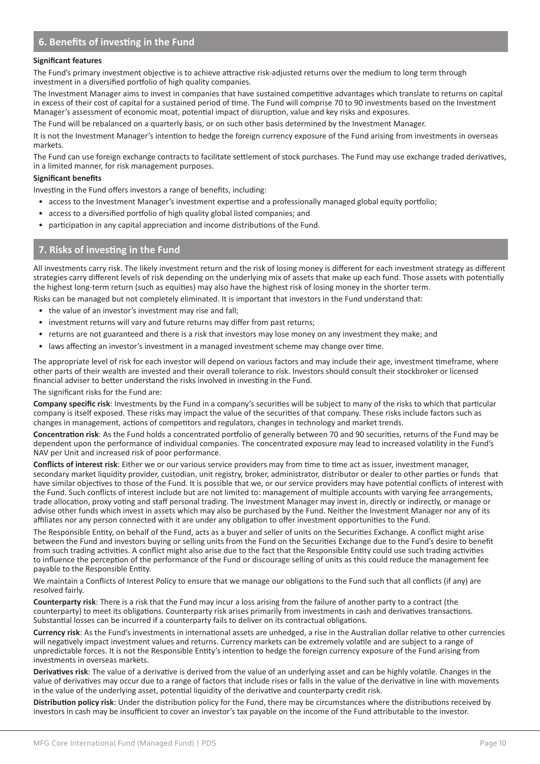# **6. Benefits of investing in the Fund**

#### **Significant features**

The Fund's primary investment objective is to achieve attractive risk-adjusted returns over the medium to long term through investment in a diversified portfolio of high quality companies.

The Investment Manager aims to invest in companies that have sustained competitive advantages which translate to returns on capital in excess of their cost of capital for a sustained period of time. The Fund will comprise 70 to 90 investments based on the Investment Manager's assessment of economic moat, potential impact of disruption, value and key risks and exposures.

The Fund will be rebalanced on a quarterly basis, or on such other basis determined by the Investment Manager.

It is not the Investment Manager's intention to hedge the foreign currency exposure of the Fund arising from investments in overseas markets.

The Fund can use foreign exchange contracts to facilitate settlement of stock purchases. The Fund may use exchange traded derivatives, in a limited manner, for risk management purposes.

#### **Significant benefits**

Investing in the Fund offers investors a range of benefits, including:

- access to the Investment Manager's investment expertise and a professionally managed global equity portfolio;
- access to a diversified portfolio of high quality global listed companies; and
- participation in any capital appreciation and income distributions of the Fund.

#### • **7. Risks of investing in the Fund**

All investments carry risk. The likely investment return and the risk of losing money is different for each investment strategy as different strategies carry different levels of risk depending on the underlying mix of assets that make up each fund. Those assets with potentially the highest long-term return (such as equities) may also have the highest risk of losing money in the shorter term.

Risks can be managed but not completely eliminated. It is important that investors in the Fund understand that:

- the value of an investor's investment may rise and fall;
- investment returns will vary and future returns may differ from past returns;
- returns are not guaranteed and there is a risk that investors may lose money on any investment they make; and
- laws affecting an investor's investment in a managed investment scheme may change over time.

The appropriate level of risk for each investor will depend on various factors and may include their age, investment timeframe, where other parts of their wealth are invested and their overall tolerance to risk. Investors should consult their stockbroker or licensed financial adviser to better understand the risks involved in investing in the Fund.

The significant risks for the Fund are:

**Company specific risk**: Investments by the Fund in a company's securities will be subject to many of the risks to which that particular company is itself exposed. These risks may impact the value of the securities of that company. These risks include factors such as changes in management, actions of competitors and regulators, changes in technology and market trends.

**Concentration risk**: As the Fund holds a concentrated portfolio of generally between 70 and 90 securities, returns of the Fund may be dependent upon the performance of individual companies. The concentrated exposure may lead to increased volatility in the Fund's NAV per Unit and increased risk of poor performance.

**Conflicts of interest risk**: Either we or our various service providers may from time to time act as issuer, investment manager, secondary market liquidity provider, custodian, unit registry, broker, administrator, distributor or dealer to other parties or funds that have similar objectives to those of the Fund. It is possible that we, or our service providers may have potential conflicts of interest with the Fund. Such conflicts of interest include but are not limited to: management of multiple accounts with varying fee arrangements, trade allocation, proxy voting and staff personal trading. The Investment Manager may invest in, directly or indirectly, or manage or advise other funds which invest in assets which may also be purchased by the Fund. Neither the Investment Manager nor any of its affiliates nor any person connected with it are under any obligation to offer investment opportunities to the Fund.

The Responsible Entity, on behalf of the Fund, acts as a buyer and seller of units on the Securities Exchange. A conflict might arise between the Fund and investors buying or selling units from the Fund on the Securities Exchange due to the Fund's desire to benefit from such trading activities. A conflict might also arise due to the fact that the Responsible Entity could use such trading activities to influence the perception of the performance of the Fund or discourage selling of units as this could reduce the management fee payable to the Responsible Entity.

We maintain a Conflicts of Interest Policy to ensure that we manage our obligations to the Fund such that all conflicts (if any) are resolved fairly.

**Counterparty risk**: There is a risk that the Fund may incur a loss arising from the failure of another party to a contract (the counterparty) to meet its obligations. Counterparty risk arises primarily from investments in cash and derivatives transactions. Substantial losses can be incurred if a counterparty fails to deliver on its contractual obligations.

**Currency risk**: As the Fund's investments in international assets are unhedged, a rise in the Australian dollar relative to other currencies will negatively impact investment values and returns. Currency markets can be extremely volatile and are subject to a range of unpredictable forces. It is not the Responsible Entity's intention to hedge the foreign currency exposure of the Fund arising from investments in overseas markets.

**Derivatives risk**: The value of a derivative is derived from the value of an underlying asset and can be highly volatile. Changes in the value of derivatives may occur due to a range of factors that include rises or falls in the value of the derivative in line with movements in the value of the underlying asset, potential liquidity of the derivative and counterparty credit risk.

**Distribution policy risk**: Under the distribution policy for the Fund, there may be circumstances where the distributions received by investors in cash may be insufficient to cover an investor's tax payable on the income of the Fund attributable to the investor.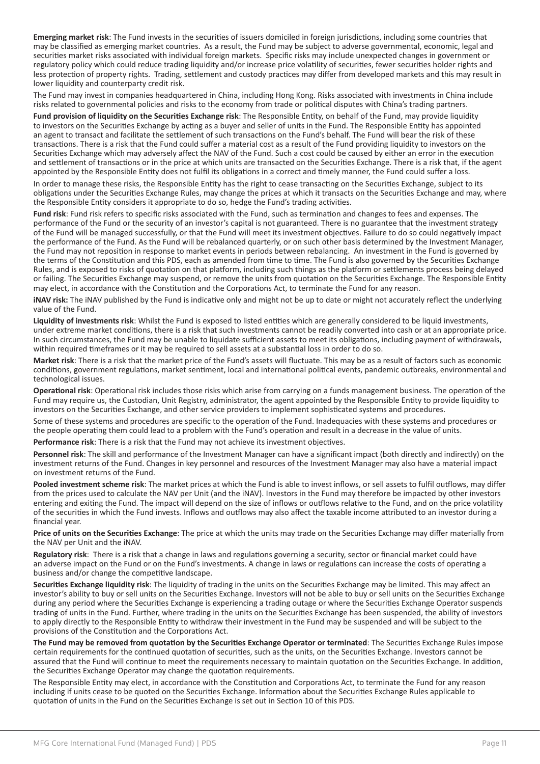**Emerging market risk**: The Fund invests in the securities of issuers domiciled in foreign jurisdictions, including some countries that may be classified as emerging market countries. As a result, the Fund may be subject to adverse governmental, economic, legal and securities market risks associated with individual foreign markets. Specific risks may include unexpected changes in government or regulatory policy which could reduce trading liquidity and/or increase price volatility of securities, fewer securities holder rights and less protection of property rights. Trading, settlement and custody practices may differ from developed markets and this may result in lower liquidity and counterparty credit risk.

The Fund may invest in companies headquartered in China, including Hong Kong. Risks associated with investments in China include risks related to governmental policies and risks to the economy from trade or political disputes with China's trading partners.

**Fund provision of liquidity on the Securities Exchange risk**: The Responsible Entity, on behalf of the Fund, may provide liquidity to investors on the Securities Exchange by acting as a buyer and seller of units in the Fund. The Responsible Entity has appointed an agent to transact and facilitate the settlement of such transactions on the Fund's behalf. The Fund will bear the risk of these transactions. There is a risk that the Fund could suffer a material cost as a result of the Fund providing liquidity to investors on the Securities Exchange which may adversely affect the NAV of the Fund. Such a cost could be caused by either an error in the execution and settlement of transactions or in the price at which units are transacted on the Securities Exchange. There is a risk that, if the agent appointed by the Responsible Entity does not fulfil its obligations in a correct and timely manner, the Fund could suffer a loss.

In order to manage these risks, the Responsible Entity has the right to cease transacting on the Securities Exchange, subject to its obligations under the Securities Exchange Rules, may change the prices at which it transacts on the Securities Exchange and may, where the Responsible Entity considers it appropriate to do so, hedge the Fund's trading activities.

**Fund risk**: Fund risk refers to specific risks associated with the Fund, such as termination and changes to fees and expenses. The performance of the Fund or the security of an investor's capital is not guaranteed. There is no guarantee that the investment strategy of the Fund will be managed successfully, or that the Fund will meet its investment objectives. Failure to do so could negatively impact the performance of the Fund. As the Fund will be rebalanced quarterly, or on such other basis determined by the Investment Manager, the Fund may not reposition in response to market events in periods between rebalancing. An investment in the Fund is governed by the terms of the Constitution and this PDS, each as amended from time to time. The Fund is also governed by the Securities Exchange Rules, and is exposed to risks of quotation on that platform, including such things as the platform or settlements process being delayed or failing. The Securities Exchange may suspend, or remove the units from quotation on the Securities Exchange. The Responsible Entity may elect, in accordance with the Constitution and the Corporations Act, to terminate the Fund for any reason.

**iNAV risk:** The iNAV published by the Fund is indicative only and might not be up to date or might not accurately reflect the underlying value of the Fund.

**Liquidity of investments risk**: Whilst the Fund is exposed to listed entities which are generally considered to be liquid investments, under extreme market conditions, there is a risk that such investments cannot be readily converted into cash or at an appropriate price. In such circumstances, the Fund may be unable to liquidate sufficient assets to meet its obligations, including payment of withdrawals, within required timeframes or it may be required to sell assets at a substantial loss in order to do so.

**Market risk**: There is a risk that the market price of the Fund's assets will fluctuate. This may be as a result of factors such as economic conditions, government regulations, market sentiment, local and international political events, pandemic outbreaks, environmental and technological issues.

**Operational risk**: Operational risk includes those risks which arise from carrying on a funds management business. The operation of the Fund may require us, the Custodian, Unit Registry, administrator, the agent appointed by the Responsible Entity to provide liquidity to investors on the Securities Exchange, and other service providers to implement sophisticated systems and procedures.

Some of these systems and procedures are specific to the operation of the Fund. Inadequacies with these systems and procedures or the people operating them could lead to a problem with the Fund's operation and result in a decrease in the value of units.

**Performance risk**: There is a risk that the Fund may not achieve its investment objectives.

**Personnel risk**: The skill and performance of the Investment Manager can have a significant impact (both directly and indirectly) on the investment returns of the Fund. Changes in key personnel and resources of the Investment Manager may also have a material impact on investment returns of the Fund.

**Pooled investment scheme risk**: The market prices at which the Fund is able to invest inflows, or sell assets to fulfil outflows, may differ from the prices used to calculate the NAV per Unit (and the iNAV). Investors in the Fund may therefore be impacted by other investors entering and exiting the Fund. The impact will depend on the size of inflows or outflows relative to the Fund, and on the price volatility of the securities in which the Fund invests. Inflows and outflows may also affect the taxable income attributed to an investor during a financial year.

**Price of units on the Securities Exchange**: The price at which the units may trade on the Securities Exchange may differ materially from the NAV per Unit and the iNAV.

**Regulatory risk**: There is a risk that a change in laws and regulations governing a security, sector or financial market could have an adverse impact on the Fund or on the Fund's investments. A change in laws or regulations can increase the costs of operating a business and/or change the competitive landscape.

**Securities Exchange liquidity risk**: The liquidity of trading in the units on the Securities Exchange may be limited. This may affect an investor's ability to buy or sell units on the Securities Exchange. Investors will not be able to buy or sell units on the Securities Exchange during any period where the Securities Exchange is experiencing a trading outage or where the Securities Exchange Operator suspends trading of units in the Fund. Further, where trading in the units on the Securities Exchange has been suspended, the ability of investors to apply directly to the Responsible Entity to withdraw their investment in the Fund may be suspended and will be subject to the provisions of the Constitution and the Corporations Act.

**The Fund may be removed from quotation by the Securities Exchange Operator or terminated**: The Securities Exchange Rules impose certain requirements for the continued quotation of securities, such as the units, on the Securities Exchange. Investors cannot be assured that the Fund will continue to meet the requirements necessary to maintain quotation on the Securities Exchange. In addition, the Securities Exchange Operator may change the quotation requirements.

The Responsible Entity may elect, in accordance with the Constitution and Corporations Act, to terminate the Fund for any reason including if units cease to be quoted on the Securities Exchange. Information about the Securities Exchange Rules applicable to quotation of units in the Fund on the Securities Exchange is set out in Section 10 of this PDS.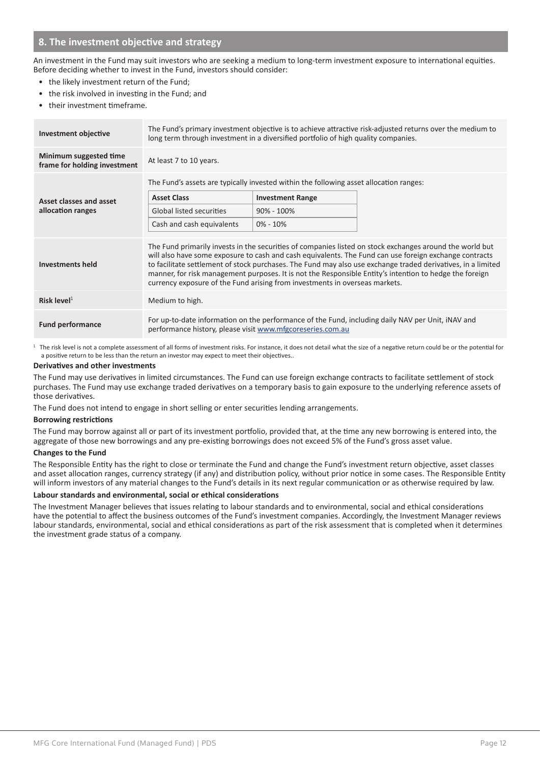# **8. The investment objective and strategy**

An investment in the Fund may suit investors who are seeking a medium to long-term investment exposure to international equities. Before deciding whether to invest in the Fund, investors should consider:

- the likely investment return of the Fund;
- the risk involved in investing in the Fund; and
- their investment timeframe.

| <b>Investment objective</b>                            | The Fund's primary investment objective is to achieve attractive risk-adjusted returns over the medium to<br>long term through investment in a diversified portfolio of high quality companies.                                                                                                                                                                                                                                                                                                                              |                                                                                        |  |  |
|--------------------------------------------------------|------------------------------------------------------------------------------------------------------------------------------------------------------------------------------------------------------------------------------------------------------------------------------------------------------------------------------------------------------------------------------------------------------------------------------------------------------------------------------------------------------------------------------|----------------------------------------------------------------------------------------|--|--|
| Minimum suggested time<br>frame for holding investment | At least 7 to 10 years.                                                                                                                                                                                                                                                                                                                                                                                                                                                                                                      |                                                                                        |  |  |
|                                                        |                                                                                                                                                                                                                                                                                                                                                                                                                                                                                                                              | The Fund's assets are typically invested within the following asset allocation ranges: |  |  |
| Asset classes and asset                                | <b>Asset Class</b>                                                                                                                                                                                                                                                                                                                                                                                                                                                                                                           | <b>Investment Range</b>                                                                |  |  |
| allocation ranges                                      | Global listed securities                                                                                                                                                                                                                                                                                                                                                                                                                                                                                                     | $90\% - 100\%$                                                                         |  |  |
|                                                        | Cash and cash equivalents                                                                                                                                                                                                                                                                                                                                                                                                                                                                                                    | $0\% - 10\%$                                                                           |  |  |
| Investments held                                       | The Fund primarily invests in the securities of companies listed on stock exchanges around the world but<br>will also have some exposure to cash and cash equivalents. The Fund can use foreign exchange contracts<br>to facilitate settlement of stock purchases. The Fund may also use exchange traded derivatives, in a limited<br>manner, for risk management purposes. It is not the Responsible Entity's intention to hedge the foreign<br>currency exposure of the Fund arising from investments in overseas markets. |                                                                                        |  |  |
| Risk level $1$                                         | Medium to high.                                                                                                                                                                                                                                                                                                                                                                                                                                                                                                              |                                                                                        |  |  |
| <b>Fund performance</b>                                | For up-to-date information on the performance of the Fund, including daily NAV per Unit, iNAV and<br>performance history, please visit www.mfgcoreseries.com.au                                                                                                                                                                                                                                                                                                                                                              |                                                                                        |  |  |

<sup>1</sup> The risk level is not a complete assessment of all forms of investment risks. For instance, it does not detail what the size of a negative return could be or the potential for a positive return to be less than the return an investor may expect to meet their objectives..

#### **Derivatives and other investments**

The Fund may use derivatives in limited circumstances. The Fund can use foreign exchange contracts to facilitate settlement of stock purchases. The Fund may use exchange traded derivatives on a temporary basis to gain exposure to the underlying reference assets of those derivatives.

The Fund does not intend to engage in short selling or enter securities lending arrangements.

#### **Borrowing restrictions**

The Fund may borrow against all or part of its investment portfolio, provided that, at the time any new borrowing is entered into, the aggregate of those new borrowings and any pre-existing borrowings does not exceed 5% of the Fund's gross asset value.

#### **Changes to the Fund**

The Responsible Entity has the right to close or terminate the Fund and change the Fund's investment return objective, asset classes and asset allocation ranges, currency strategy (if any) and distribution policy, without prior notice in some cases. The Responsible Entity will inform investors of any material changes to the Fund's details in its next regular communication or as otherwise required by law.

#### **Labour standards and environmental, social or ethical considerations**

The Investment Manager believes that issues relating to labour standards and to environmental, social and ethical considerations have the potential to affect the business outcomes of the Fund's investment companies. Accordingly, the Investment Manager reviews labour standards, environmental, social and ethical considerations as part of the risk assessment that is completed when it determines the investment grade status of a company.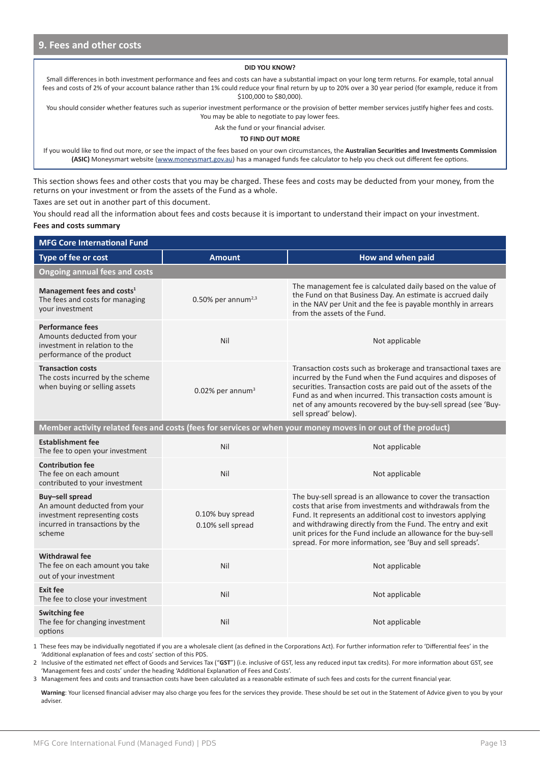#### **DID YOU KNOW?**

Small differences in both investment performance and fees and costs can have a substantial impact on your long term returns. For example, total annual fees and costs of 2% of your account balance rather than 1% could reduce your final return by up to 20% over a 30 year period (for example, reduce it from \$100,000 to \$80,000).

You should consider whether features such as superior investment performance or the provision of better member services justify higher fees and costs. You may be able to negotiate to pay lower fees.

Ask the fund or your financial adviser.

#### **TO FIND OUT MORE**

If you would like to find out more, or see the impact of the fees based on your own circumstances, the **Australian Securities and Investments Commission (ASIC)** Moneysmart website (www.moneysmart.gov.au) has a managed funds fee calculator to help you check out different fee options.

This section shows fees and other costs that you may be charged. These fees and costs may be deducted from your money, from the returns on your investment or from the assets of the Fund as a whole.

Taxes are set out in another part of this document.

You should read all the information about fees and costs because it is important to understand their impact on your investment. **Fees and costs summary**

| <b>MFG Core International Fund</b>                                                                                            |                                       |                                                                                                                                                                                                                                                                                                                                                                                         |  |  |
|-------------------------------------------------------------------------------------------------------------------------------|---------------------------------------|-----------------------------------------------------------------------------------------------------------------------------------------------------------------------------------------------------------------------------------------------------------------------------------------------------------------------------------------------------------------------------------------|--|--|
| Type of fee or cost                                                                                                           | <b>Amount</b>                         | How and when paid                                                                                                                                                                                                                                                                                                                                                                       |  |  |
| <b>Ongoing annual fees and costs</b>                                                                                          |                                       |                                                                                                                                                                                                                                                                                                                                                                                         |  |  |
| Management fees and costs <sup>1</sup><br>The fees and costs for managing<br>vour investment                                  | $0.50\%$ per annum <sup>2,3</sup>     | The management fee is calculated daily based on the value of<br>the Fund on that Business Day. An estimate is accrued daily<br>in the NAV per Unit and the fee is payable monthly in arrears<br>from the assets of the Fund.                                                                                                                                                            |  |  |
| <b>Performance fees</b><br>Amounts deducted from your<br>investment in relation to the<br>performance of the product          | Nil                                   | Not applicable                                                                                                                                                                                                                                                                                                                                                                          |  |  |
| <b>Transaction costs</b><br>The costs incurred by the scheme<br>when buying or selling assets                                 | $0.02\%$ per annum <sup>3</sup>       | Transaction costs such as brokerage and transactional taxes are<br>incurred by the Fund when the Fund acquires and disposes of<br>securities. Transaction costs are paid out of the assets of the<br>Fund as and when incurred. This transaction costs amount is<br>net of any amounts recovered by the buy-sell spread (see 'Buy-<br>sell spread' below).                              |  |  |
|                                                                                                                               |                                       | Member activity related fees and costs (fees for services or when your money moves in or out of the product)                                                                                                                                                                                                                                                                            |  |  |
| <b>Establishment fee</b><br>The fee to open your investment                                                                   | Nil                                   | Not applicable                                                                                                                                                                                                                                                                                                                                                                          |  |  |
| <b>Contribution fee</b><br>The fee on each amount<br>contributed to your investment                                           | Nil                                   | Not applicable                                                                                                                                                                                                                                                                                                                                                                          |  |  |
| Buy-sell spread<br>An amount deducted from your<br>investment representing costs<br>incurred in transactions by the<br>scheme | 0.10% buy spread<br>0.10% sell spread | The buy-sell spread is an allowance to cover the transaction<br>costs that arise from investments and withdrawals from the<br>Fund. It represents an additional cost to investors applying<br>and withdrawing directly from the Fund. The entry and exit<br>unit prices for the Fund include an allowance for the buy-sell<br>spread. For more information, see 'Buy and sell spreads'. |  |  |
| <b>Withdrawal fee</b><br>The fee on each amount you take<br>out of your investment                                            | Nil                                   | Not applicable                                                                                                                                                                                                                                                                                                                                                                          |  |  |
| Exit fee<br>The fee to close your investment                                                                                  | Nil                                   | Not applicable                                                                                                                                                                                                                                                                                                                                                                          |  |  |
| <b>Switching fee</b><br>The fee for changing investment<br>options                                                            | Nil                                   | Not applicable                                                                                                                                                                                                                                                                                                                                                                          |  |  |

1 These fees may be individually negotiated if you are a wholesale client (as defined in the Corporations Act). For further information refer to 'Differential fees' in the 'Additional explanation of fees and costs' section of this PDS.

2 Inclusive of the estimated net effect of Goods and Services Tax ("**GST**") (i.e. inclusive of GST, less any reduced input tax credits). For more information about GST, see 'Management fees and costs' under the heading 'Additional Explanation of Fees and Costs'.

3 Management fees and costs and transaction costs have been calculated as a reasonable estimate of such fees and costs for the current financial year.

**Warning**: Your licensed financial adviser may also charge you fees for the services they provide. These should be set out in the Statement of Advice given to you by your adviser.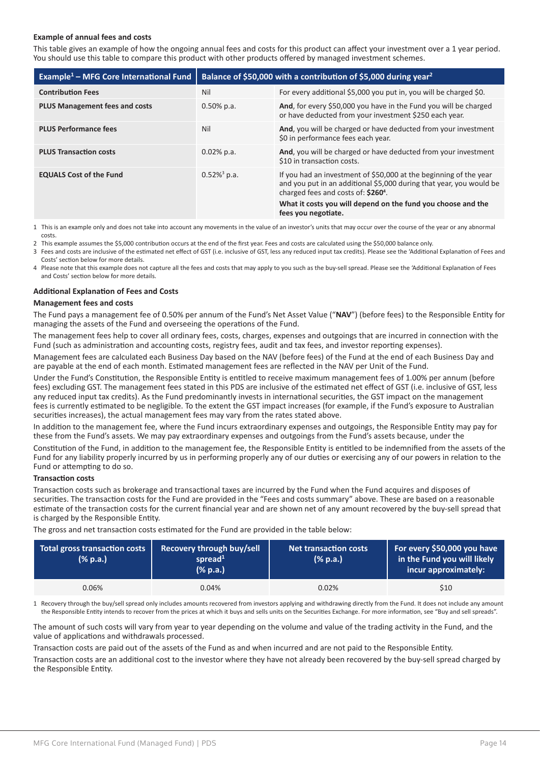#### **Example of annual fees and costs**

This table gives an example of how the ongoing annual fees and costs for this product can affect your investment over a 1 year period. You should use this table to compare this product with other products offered by managed investment schemes.

| Example <sup>1</sup> – MFG Core International Fund | Balance of \$50,000 with a contribution of \$5,000 during year <sup>2</sup> |                                                                                                                                                                                                                                                                                    |  |
|----------------------------------------------------|-----------------------------------------------------------------------------|------------------------------------------------------------------------------------------------------------------------------------------------------------------------------------------------------------------------------------------------------------------------------------|--|
| <b>Contribution Fees</b>                           | Nil                                                                         | For every additional \$5,000 you put in, you will be charged \$0.                                                                                                                                                                                                                  |  |
| <b>PLUS Management fees and costs</b>              | $0.50\%$ p.a.                                                               | And, for every \$50,000 you have in the Fund you will be charged<br>or have deducted from your investment \$250 each year.                                                                                                                                                         |  |
| <b>PLUS Performance fees</b>                       | Nil                                                                         | And, you will be charged or have deducted from your investment<br>\$0 in performance fees each year.                                                                                                                                                                               |  |
| <b>PLUS Transaction costs</b>                      | $0.02\%$ p.a.                                                               | And, you will be charged or have deducted from your investment<br>\$10 in transaction costs.                                                                                                                                                                                       |  |
| <b>EQUALS Cost of the Fund</b>                     | $0.52\%$ <sup>3</sup> p.a.                                                  | If you had an investment of \$50,000 at the beginning of the year<br>and you put in an additional \$5,000 during that year, you would be<br>charged fees and costs of: \$260 <sup>4</sup> .<br>What it costs you will depend on the fund you choose and the<br>fees you negotiate. |  |

1 This is an example only and does not take into account any movements in the value of an investor's units that may occur over the course of the year or any abnormal costs.

2 This example assumes the \$5,000 contribution occurs at the end of the first year. Fees and costs are calculated using the \$50,000 balance only.

3 Fees and costs are inclusive of the estimated net effect of GST (i.e. inclusive of GST, less any reduced input tax credits). Please see the 'Additional Explanation of Fees and Costs' section below for more details.

4 Please note that this example does not capture all the fees and costs that may apply to you such as the buy-sell spread. Please see the 'Additional Explanation of Fees and Costs' section below for more details.

#### **Additional Explanation of Fees and Costs**

#### **Management fees and costs**

The Fund pays a management fee of 0.50% per annum of the Fund's Net Asset Value ("**NAV**") (before fees) to the Responsible Entity for managing the assets of the Fund and overseeing the operations of the Fund.

The management fees help to cover all ordinary fees, costs, charges, expenses and outgoings that are incurred in connection with the Fund (such as administration and accounting costs, registry fees, audit and tax fees, and investor reporting expenses).

Management fees are calculated each Business Day based on the NAV (before fees) of the Fund at the end of each Business Day and are payable at the end of each month. Estimated management fees are reflected in the NAV per Unit of the Fund.

Under the Fund's Constitution, the Responsible Entity is entitled to receive maximum management fees of 1.00% per annum (before fees) excluding GST. The management fees stated in this PDS are inclusive of the estimated net effect of GST (i.e. inclusive of GST, less any reduced input tax credits). As the Fund predominantly invests in international securities, the GST impact on the management fees is currently estimated to be negligible. To the extent the GST impact increases (for example, if the Fund's exposure to Australian securities increases), the actual management fees may vary from the rates stated above.

In addition to the management fee, where the Fund incurs extraordinary expenses and outgoings, the Responsible Entity may pay for these from the Fund's assets. We may pay extraordinary expenses and outgoings from the Fund's assets because, under the

Constitution of the Fund, in addition to the management fee, the Responsible Entity is entitled to be indemnified from the assets of the Fund for any liability properly incurred by us in performing properly any of our duties or exercising any of our powers in relation to the Fund or attempting to do so.

#### **Transaction costs**

Transaction costs such as brokerage and transactional taxes are incurred by the Fund when the Fund acquires and disposes of securities. The transaction costs for the Fund are provided in the "Fees and costs summary" above. These are based on a reasonable estimate of the transaction costs for the current financial year and are shown net of any amount recovered by the buy-sell spread that is charged by the Responsible Entity.

The gross and net transaction costs estimated for the Fund are provided in the table below:

| Total gross transaction costs<br>$(\%$ p.a.) | Recovery through buy/sell<br>spread $1$<br>(% p.a.) | <b>Net transaction costs</b><br>(% p.a.) | For every \$50,000 you have<br>in the Fund you will likely<br>incur approximately: |
|----------------------------------------------|-----------------------------------------------------|------------------------------------------|------------------------------------------------------------------------------------|
| 0.06%                                        | 0.04%                                               | 0.02%                                    | \$10                                                                               |

1 Recovery through the buy/sell spread only includes amounts recovered from investors applying and withdrawing directly from the Fund. It does not include any amount the Responsible Entity intends to recover from the prices at which it buys and sells units on the Securities Exchange. For more information, see "Buy and sell spreads".

The amount of such costs will vary from year to year depending on the volume and value of the trading activity in the Fund, and the value of applications and withdrawals processed.

Transaction costs are paid out of the assets of the Fund as and when incurred and are not paid to the Responsible Entity.

Transaction costs are an additional cost to the investor where they have not already been recovered by the buy-sell spread charged by the Responsible Entity.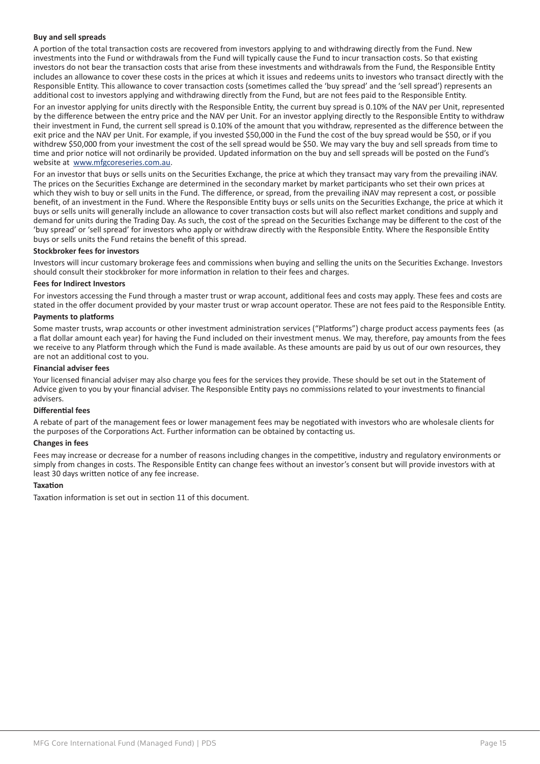#### **Buy and sell spreads**

A portion of the total transaction costs are recovered from investors applying to and withdrawing directly from the Fund. New investments into the Fund or withdrawals from the Fund will typically cause the Fund to incur transaction costs. So that existing investors do not bear the transaction costs that arise from these investments and withdrawals from the Fund, the Responsible Entity includes an allowance to cover these costs in the prices at which it issues and redeems units to investors who transact directly with the Responsible Entity. This allowance to cover transaction costs (sometimes called the 'buy spread' and the 'sell spread') represents an additional cost to investors applying and withdrawing directly from the Fund, but are not fees paid to the Responsible Entity.

For an investor applying for units directly with the Responsible Entity, the current buy spread is 0.10% of the NAV per Unit, represented by the difference between the entry price and the NAV per Unit. For an investor applying directly to the Responsible Entity to withdraw their investment in Fund, the current sell spread is 0.10% of the amount that you withdraw, represented as the difference between the exit price and the NAV per Unit. For example, if you invested \$50,000 in the Fund the cost of the buy spread would be \$50, or if you withdrew \$50,000 from your investment the cost of the sell spread would be \$50. We may vary the buy and sell spreads from time to time and prior notice will not ordinarily be provided. Updated information on the buy and sell spreads will be posted on the Fund's website at www.mfgcoreseries.com.au.

For an investor that buys or sells units on the Securities Exchange, the price at which they transact may vary from the prevailing iNAV. The prices on the Securities Exchange are determined in the secondary market by market participants who set their own prices at which they wish to buy or sell units in the Fund. The difference, or spread, from the prevailing iNAV may represent a cost, or possible benefit, of an investment in the Fund. Where the Responsible Entity buys or sells units on the Securities Exchange, the price at which it buys or sells units will generally include an allowance to cover transaction costs but will also reflect market conditions and supply and demand for units during the Trading Day. As such, the cost of the spread on the Securities Exchange may be different to the cost of the 'buy spread' or 'sell spread' for investors who apply or withdraw directly with the Responsible Entity. Where the Responsible Entity buys or sells units the Fund retains the benefit of this spread.

#### **Stockbroker fees for investors**

Investors will incur customary brokerage fees and commissions when buying and selling the units on the Securities Exchange. Investors should consult their stockbroker for more information in relation to their fees and charges.

#### **Fees for Indirect Investors**

For investors accessing the Fund through a master trust or wrap account, additional fees and costs may apply. These fees and costs are stated in the offer document provided by your master trust or wrap account operator. These are not fees paid to the Responsible Entity.

#### **Payments to platforms**

Some master trusts, wrap accounts or other investment administration services ("Platforms") charge product access payments fees (as a flat dollar amount each year) for having the Fund included on their investment menus. We may, therefore, pay amounts from the fees we receive to any Platform through which the Fund is made available. As these amounts are paid by us out of our own resources, they are not an additional cost to you.

#### **Financial adviser fees**

Your licensed financial adviser may also charge you fees for the services they provide. These should be set out in the Statement of Advice given to you by your financial adviser. The Responsible Entity pays no commissions related to your investments to financial advisers.

#### **Differential fees**

A rebate of part of the management fees or lower management fees may be negotiated with investors who are wholesale clients for the purposes of the Corporations Act. Further information can be obtained by contacting us.

#### **Changes in fees**

Fees may increase or decrease for a number of reasons including changes in the competitive, industry and regulatory environments or simply from changes in costs. The Responsible Entity can change fees without an investor's consent but will provide investors with at least 30 days written notice of any fee increase.

#### **Taxation**

Taxation information is set out in section 11 of this document.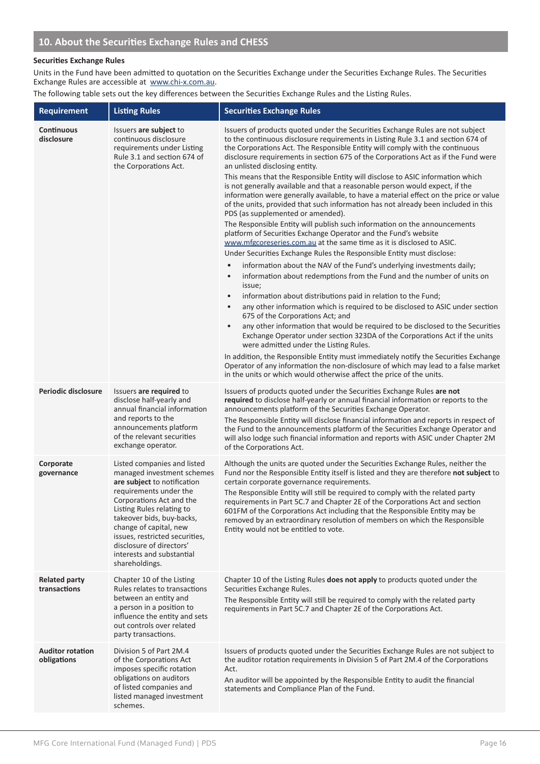#### **Securities Exchange Rules**

Units in the Fund have been admitted to quotation on the Securities Exchange under the Securities Exchange Rules. The Securities Exchange Rules are accessible at www.chi-x.com.au.

The following table sets out the key differences between the Securities Exchange Rules and the Listing Rules.

| <b>Requirement</b>                     | <b>Listing Rules</b>                                                                                                                                                                                                                                                                                                                            | <b>Securities Exchange Rules</b>                                                                                                                                                                                                                                                                                                                                                                                                                                                                                                                                                                                                                                                                                                                                                                                                                                                                                                                                                                                                                                                                                                                                                                                                                                                                                                                                                                                                                                                                                                                                                                                                                                                                                                                                                                                                                                                                                                         |
|----------------------------------------|-------------------------------------------------------------------------------------------------------------------------------------------------------------------------------------------------------------------------------------------------------------------------------------------------------------------------------------------------|------------------------------------------------------------------------------------------------------------------------------------------------------------------------------------------------------------------------------------------------------------------------------------------------------------------------------------------------------------------------------------------------------------------------------------------------------------------------------------------------------------------------------------------------------------------------------------------------------------------------------------------------------------------------------------------------------------------------------------------------------------------------------------------------------------------------------------------------------------------------------------------------------------------------------------------------------------------------------------------------------------------------------------------------------------------------------------------------------------------------------------------------------------------------------------------------------------------------------------------------------------------------------------------------------------------------------------------------------------------------------------------------------------------------------------------------------------------------------------------------------------------------------------------------------------------------------------------------------------------------------------------------------------------------------------------------------------------------------------------------------------------------------------------------------------------------------------------------------------------------------------------------------------------------------------------|
| <b>Continuous</b><br>disclosure        | Issuers are subject to<br>continuous disclosure<br>requirements under Listing<br>Rule 3.1 and section 674 of<br>the Corporations Act.                                                                                                                                                                                                           | Issuers of products quoted under the Securities Exchange Rules are not subject<br>to the continuous disclosure requirements in Listing Rule 3.1 and section 674 of<br>the Corporations Act. The Responsible Entity will comply with the continuous<br>disclosure requirements in section 675 of the Corporations Act as if the Fund were<br>an unlisted disclosing entity.<br>This means that the Responsible Entity will disclose to ASIC information which<br>is not generally available and that a reasonable person would expect, if the<br>information were generally available, to have a material effect on the price or value<br>of the units, provided that such information has not already been included in this<br>PDS (as supplemented or amended).<br>The Responsible Entity will publish such information on the announcements<br>platform of Securities Exchange Operator and the Fund's website<br>www.mfgcoreseries.com.au at the same time as it is disclosed to ASIC.<br>Under Securities Exchange Rules the Responsible Entity must disclose:<br>information about the NAV of the Fund's underlying investments daily;<br>$\bullet$<br>information about redemptions from the Fund and the number of units on<br>$\bullet$<br>issue;<br>information about distributions paid in relation to the Fund;<br>$\bullet$<br>any other information which is required to be disclosed to ASIC under section<br>675 of the Corporations Act; and<br>any other information that would be required to be disclosed to the Securities<br>$\bullet$<br>Exchange Operator under section 323DA of the Corporations Act if the units<br>were admitted under the Listing Rules.<br>In addition, the Responsible Entity must immediately notify the Securities Exchange<br>Operator of any information the non-disclosure of which may lead to a false market<br>in the units or which would otherwise affect the price of the units. |
| Periodic disclosure                    | Issuers are required to<br>disclose half-yearly and<br>annual financial information<br>and reports to the<br>announcements platform<br>of the relevant securities<br>exchange operator.                                                                                                                                                         | Issuers of products quoted under the Securities Exchange Rules are not<br>required to disclose half-yearly or annual financial information or reports to the<br>announcements platform of the Securities Exchange Operator.<br>The Responsible Entity will disclose financial information and reports in respect of<br>the Fund to the announcements platform of the Securities Exchange Operator and<br>will also lodge such financial information and reports with ASIC under Chapter 2M<br>of the Corporations Act.                                                                                                                                                                                                                                                                                                                                                                                                                                                                                                                                                                                                                                                                                                                                                                                                                                                                                                                                                                                                                                                                                                                                                                                                                                                                                                                                                                                                                   |
| Corporate<br>governance                | Listed companies and listed<br>managed investment schemes<br>are subject to notification<br>requirements under the<br>Corporations Act and the<br>Listing Rules relating to<br>takeover bids, buy-backs,<br>change of capital, new<br>issues, restricted securities,<br>disclosure of directors'<br>interests and substantial<br>shareholdings. | Although the units are quoted under the Securities Exchange Rules, neither the<br>Fund nor the Responsible Entity itself is listed and they are therefore not subject to<br>certain corporate governance requirements.<br>The Responsible Entity will still be required to comply with the related party<br>requirements in Part 5C.7 and Chapter 2E of the Corporations Act and section<br>601FM of the Corporations Act including that the Responsible Entity may be<br>removed by an extraordinary resolution of members on which the Responsible<br>Entity would not be entitled to vote.                                                                                                                                                                                                                                                                                                                                                                                                                                                                                                                                                                                                                                                                                                                                                                                                                                                                                                                                                                                                                                                                                                                                                                                                                                                                                                                                            |
| <b>Related party</b><br>transactions   | Chapter 10 of the Listing<br>Rules relates to transactions<br>between an entity and<br>a person in a position to<br>influence the entity and sets<br>out controls over related<br>party transactions.                                                                                                                                           | Chapter 10 of the Listing Rules does not apply to products quoted under the<br>Securities Exchange Rules.<br>The Responsible Entity will still be required to comply with the related party<br>requirements in Part 5C.7 and Chapter 2E of the Corporations Act.                                                                                                                                                                                                                                                                                                                                                                                                                                                                                                                                                                                                                                                                                                                                                                                                                                                                                                                                                                                                                                                                                                                                                                                                                                                                                                                                                                                                                                                                                                                                                                                                                                                                         |
| <b>Auditor rotation</b><br>obligations | Division 5 of Part 2M.4<br>of the Corporations Act<br>imposes specific rotation<br>obligations on auditors<br>of listed companies and<br>listed managed investment<br>schemes.                                                                                                                                                                  | Issuers of products quoted under the Securities Exchange Rules are not subject to<br>the auditor rotation requirements in Division 5 of Part 2M.4 of the Corporations<br>Act.<br>An auditor will be appointed by the Responsible Entity to audit the financial<br>statements and Compliance Plan of the Fund.                                                                                                                                                                                                                                                                                                                                                                                                                                                                                                                                                                                                                                                                                                                                                                                                                                                                                                                                                                                                                                                                                                                                                                                                                                                                                                                                                                                                                                                                                                                                                                                                                            |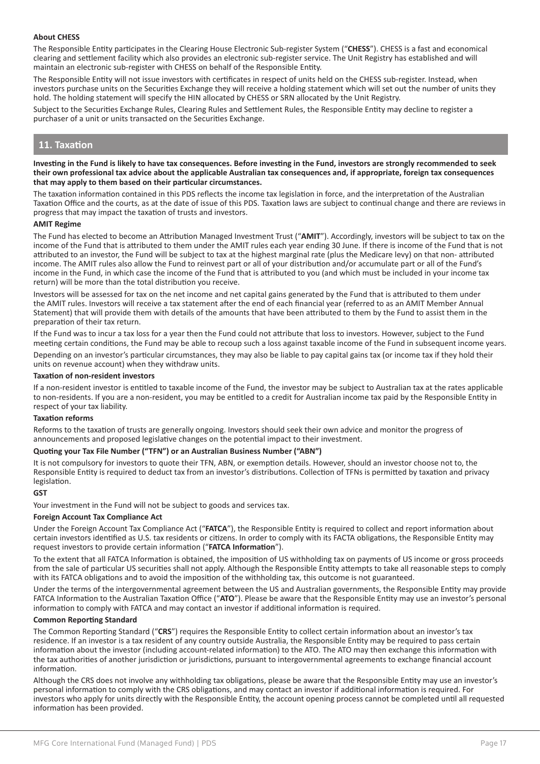#### **About CHESS**

The Responsible Entity participates in the Clearing House Electronic Sub-register System ("**CHESS**"). CHESS is a fast and economical clearing and settlement facility which also provides an electronic sub-register service. The Unit Registry has established and will maintain an electronic sub-register with CHESS on behalf of the Responsible Entity.

The Responsible Entity will not issue investors with certificates in respect of units held on the CHESS sub-register. Instead, when investors purchase units on the Securities Exchange they will receive a holding statement which will set out the number of units they hold. The holding statement will specify the HIN allocated by CHESS or SRN allocated by the Unit Registry.

Subject to the Securities Exchange Rules, Clearing Rules and Settlement Rules, the Responsible Entity may decline to register a purchaser of a unit or units transacted on the Securities Exchange.

### **11. Taxation**

#### **Investing in the Fund is likely to have tax consequences. Before investing in the Fund, investors are strongly recommended to seek their own professional tax advice about the applicable Australian tax consequences and, if appropriate, foreign tax consequences that may apply to them based on their particular circumstances.**

The taxation information contained in this PDS reflects the income tax legislation in force, and the interpretation of the Australian Taxation Office and the courts, as at the date of issue of this PDS. Taxation laws are subject to continual change and there are reviews in progress that may impact the taxation of trusts and investors.

#### **AMIT Regime**

The Fund has elected to become an Attribution Managed Investment Trust ("**AMIT**"). Accordingly, investors will be subject to tax on the income of the Fund that is attributed to them under the AMIT rules each year ending 30 June. If there is income of the Fund that is not attributed to an investor, the Fund will be subject to tax at the highest marginal rate (plus the Medicare levy) on that non- attributed income. The AMIT rules also allow the Fund to reinvest part or all of your distribution and/or accumulate part or all of the Fund's income in the Fund, in which case the income of the Fund that is attributed to you (and which must be included in your income tax return) will be more than the total distribution you receive.

Investors will be assessed for tax on the net income and net capital gains generated by the Fund that is attributed to them under the AMIT rules. Investors will receive a tax statement after the end of each financial year (referred to as an AMIT Member Annual Statement) that will provide them with details of the amounts that have been attributed to them by the Fund to assist them in the preparation of their tax return.

If the Fund was to incur a tax loss for a year then the Fund could not attribute that loss to investors. However, subject to the Fund meeting certain conditions, the Fund may be able to recoup such a loss against taxable income of the Fund in subsequent income years.

Depending on an investor's particular circumstances, they may also be liable to pay capital gains tax (or income tax if they hold their units on revenue account) when they withdraw units.

#### **Taxation of non-resident investors**

If a non-resident investor is entitled to taxable income of the Fund, the investor may be subject to Australian tax at the rates applicable to non-residents. If you are a non-resident, you may be entitled to a credit for Australian income tax paid by the Responsible Entity in respect of your tax liability.

#### **Taxation reforms**

Reforms to the taxation of trusts are generally ongoing. Investors should seek their own advice and monitor the progress of announcements and proposed legislative changes on the potential impact to their investment.

#### **Quoting your Tax File Number ("TFN") or an Australian Business Number ("ABN")**

It is not compulsory for investors to quote their TFN, ABN, or exemption details. However, should an investor choose not to, the Responsible Entity is required to deduct tax from an investor's distributions. Collection of TFNs is permitted by taxation and privacy legislation.

#### **GST**

Your investment in the Fund will not be subject to goods and services tax.

#### **Foreign Account Tax Compliance Act**

Under the Foreign Account Tax Compliance Act ("**FATCA**"), the Responsible Entity is required to collect and report information about certain investors identified as U.S. tax residents or citizens. In order to comply with its FACTA obligations, the Responsible Entity may request investors to provide certain information ("**FATCA Information**").

To the extent that all FATCA Information is obtained, the imposition of US withholding tax on payments of US income or gross proceeds from the sale of particular US securities shall not apply. Although the Responsible Entity attempts to take all reasonable steps to comply with its FATCA obligations and to avoid the imposition of the withholding tax, this outcome is not guaranteed.

Under the terms of the intergovernmental agreement between the US and Australian governments, the Responsible Entity may provide FATCA Information to the Australian Taxation Office ("**ATO**"). Please be aware that the Responsible Entity may use an investor's personal information to comply with FATCA and may contact an investor if additional information is required.

#### **Common Reporting Standard**

The Common Reporting Standard ("**CRS**") requires the Responsible Entity to collect certain information about an investor's tax residence. If an investor is a tax resident of any country outside Australia, the Responsible Entity may be required to pass certain information about the investor (including account-related information) to the ATO. The ATO may then exchange this information with the tax authorities of another jurisdiction or jurisdictions, pursuant to intergovernmental agreements to exchange financial account information.

Although the CRS does not involve any withholding tax obligations, please be aware that the Responsible Entity may use an investor's personal information to comply with the CRS obligations, and may contact an investor if additional information is required. For investors who apply for units directly with the Responsible Entity, the account opening process cannot be completed until all requested information has been provided.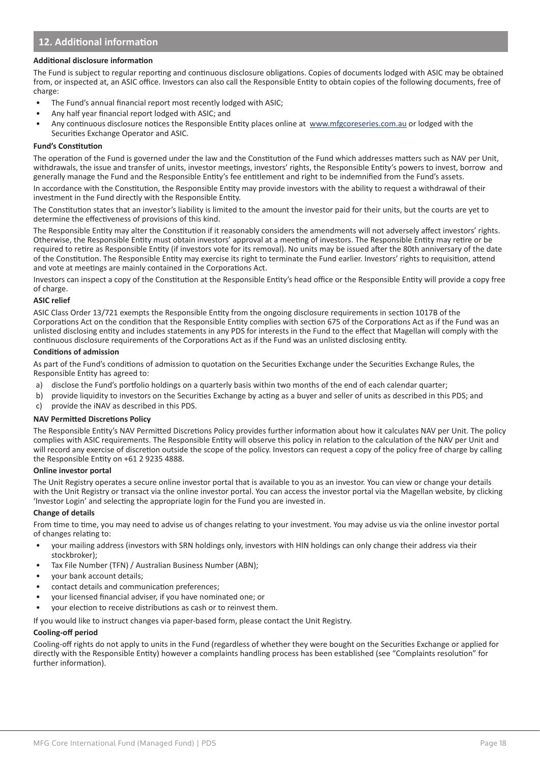# **12. Additional information**

#### **Additional disclosure information**

The Fund is subject to regular reporting and continuous disclosure obligations. Copies of documents lodged with ASIC may be obtained from, or inspected at, an ASIC office. Investors can also call the Responsible Entity to obtain copies of the following documents, free of charge:

- The Fund's annual financial report most recently lodged with ASIC;
- Any half year financial report lodged with ASIC; and
- Any continuous disclosure notices the Responsible Entity places online at www.mfgcoreseries.com.au or lodged with the Securities Exchange Operator and ASIC.

#### **Fund's Constitution**

The operation of the Fund is governed under the law and the Constitution of the Fund which addresses matters such as NAV per Unit, withdrawals, the issue and transfer of units, investor meetings, investors' rights, the Responsible Entity's powers to invest, borrow and generally manage the Fund and the Responsible Entity's fee entitlement and right to be indemnified from the Fund's assets.

In accordance with the Constitution, the Responsible Entity may provide investors with the ability to request a withdrawal of their investment in the Fund directly with the Responsible Entity.

The Constitution states that an investor's liability is limited to the amount the investor paid for their units, but the courts are yet to determine the effectiveness of provisions of this kind.

The Responsible Entity may alter the Constitution if it reasonably considers the amendments will not adversely affect investors' rights. Otherwise, the Responsible Entity must obtain investors' approval at a meeting of investors. The Responsible Entity may retire or be required to retire as Responsible Entity (if investors vote for its removal). No units may be issued after the 80th anniversary of the date of the Constitution. The Responsible Entity may exercise its right to terminate the Fund earlier. Investors' rights to requisition, attend and vote at meetings are mainly contained in the Corporations Act.

Investors can inspect a copy of the Constitution at the Responsible Entity's head office or the Responsible Entity will provide a copy free of charge.

#### **ASIC relief**

ASIC Class Order 13/721 exempts the Responsible Entity from the ongoing disclosure requirements in section 1017B of the Corporations Act on the condition that the Responsible Entity complies with section 675 of the Corporations Act as if the Fund was an unlisted disclosing entity and includes statements in any PDS for interests in the Fund to the effect that Magellan will comply with the continuous disclosure requirements of the Corporations Act as if the Fund was an unlisted disclosing entity.

#### **Conditions of admission**

As part of the Fund's conditions of admission to quotation on the Securities Exchange under the Securities Exchange Rules, the Responsible Entity has agreed to:

- a) disclose the Fund's portfolio holdings on a quarterly basis within two months of the end of each calendar quarter;
- b) provide liquidity to investors on the Securities Exchange by acting as a buyer and seller of units as described in this PDS; and
- c) provide the iNAV as described in this PDS.

#### **NAV Permitted Discretions Policy**

The Responsible Entity's NAV Permitted Discretions Policy provides further information about how it calculates NAV per Unit. The policy complies with ASIC requirements. The Responsible Entity will observe this policy in relation to the calculation of the NAV per Unit and will record any exercise of discretion outside the scope of the policy. Investors can request a copy of the policy free of charge by calling the Responsible Entity on +61 2 9235 4888.

#### **Online investor portal**

The Unit Registry operates a secure online investor portal that is available to you as an investor. You can view or change your details with the Unit Registry or transact via the online investor portal. You can access the investor portal via the Magellan website, by clicking 'Investor Login' and selecting the appropriate login for the Fund you are invested in.

#### **Change of details**

From time to time, you may need to advise us of changes relating to your investment. You may advise us via the online investor portal of changes relating to:

- your mailing address (investors with SRN holdings only, investors with HIN holdings can only change their address via their stockbroker);
- Tax File Number (TFN) / Australian Business Number (ABN);
- your bank account details;
- contact details and communication preferences;
- your licensed financial adviser, if you have nominated one; or
- your election to receive distributions as cash or to reinvest them.

If you would like to instruct changes via paper-based form, please contact the Unit Registry.

#### **Cooling-off period**

Cooling-off rights do not apply to units in the Fund (regardless of whether they were bought on the Securities Exchange or applied for directly with the Responsible Entity) however a complaints handling process has been established (see "Complaints resolution" for further information).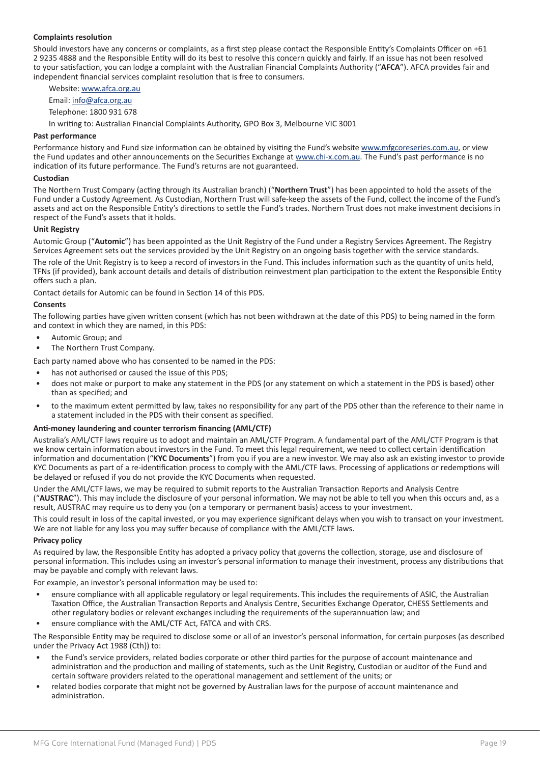#### **Complaints resolution**

Should investors have any concerns or complaints, as a first step please contact the Responsible Entity's Complaints Officer on +61 2 9235 4888 and the Responsible Entity will do its best to resolve this concern quickly and fairly. If an issue has not been resolved to your satisfaction, you can lodge a complaint with the Australian Financial Complaints Authority ("**AFCA**"). AFCA provides fair and independent financial services complaint resolution that is free to consumers.

Website: www.afca.org.au

Email: info@afca.org.au

Telephone: 1800 931 678

In writing to: Australian Financial Complaints Authority, GPO Box 3, Melbourne VIC 3001

#### **Past performance**

Performance history and Fund size information can be obtained by visiting the Fund's website www.mfgcoreseries.com.au, or view the Fund updates and other announcements on the Securities Exchange at www.chi-x.com.au. The Fund's past performance is no indication of its future performance. The Fund's returns are not guaranteed.

#### **Custodian**

The Northern Trust Company (acting through its Australian branch) ("**Northern Trust**") has been appointed to hold the assets of the Fund under a Custody Agreement. As Custodian, Northern Trust will safe-keep the assets of the Fund, collect the income of the Fund's assets and act on the Responsible Entity's directions to settle the Fund's trades. Northern Trust does not make investment decisions in respect of the Fund's assets that it holds.

#### **Unit Registry**

Automic Group ("**Automic**") has been appointed as the Unit Registry of the Fund under a Registry Services Agreement. The Registry Services Agreement sets out the services provided by the Unit Registry on an ongoing basis together with the service standards.

The role of the Unit Registry is to keep a record of investors in the Fund. This includes information such as the quantity of units held, TFNs (if provided), bank account details and details of distribution reinvestment plan participation to the extent the Responsible Entity offers such a plan.

Contact details for Automic can be found in Section 14 of this PDS.

#### **Consents**

The following parties have given written consent (which has not been withdrawn at the date of this PDS) to being named in the form and context in which they are named, in this PDS:

- Automic Group; and
- The Northern Trust Company.

Each party named above who has consented to be named in the PDS:

- has not authorised or caused the issue of this PDS;
- does not make or purport to make any statement in the PDS (or any statement on which a statement in the PDS is based) other than as specified; and
- to the maximum extent permitted by law, takes no responsibility for any part of the PDS other than the reference to their name in a statement included in the PDS with their consent as specified.

#### **Anti-money laundering and counter terrorism financing (AML/CTF)**

Australia's AML/CTF laws require us to adopt and maintain an AML/CTF Program. A fundamental part of the AML/CTF Program is that we know certain information about investors in the Fund. To meet this legal requirement, we need to collect certain identification information and documentation ("**KYC Documents**") from you if you are a new investor. We may also ask an existing investor to provide KYC Documents as part of a re-identification process to comply with the AML/CTF laws. Processing of applications or redemptions will be delayed or refused if you do not provide the KYC Documents when requested.

Under the AML/CTF laws, we may be required to submit reports to the Australian Transaction Reports and Analysis Centre ("**AUSTRAC**"). This may include the disclosure of your personal information. We may not be able to tell you when this occurs and, as a result, AUSTRAC may require us to deny you (on a temporary or permanent basis) access to your investment.

This could result in loss of the capital invested, or you may experience significant delays when you wish to transact on your investment. We are not liable for any loss you may suffer because of compliance with the AML/CTF laws.

#### **Privacy policy**

As required by law, the Responsible Entity has adopted a privacy policy that governs the collection, storage, use and disclosure of personal information. This includes using an investor's personal information to manage their investment, process any distributions that may be payable and comply with relevant laws.

For example, an investor's personal information may be used to:

- ensure compliance with all applicable regulatory or legal requirements. This includes the requirements of ASIC, the Australian Taxation Office, the Australian Transaction Reports and Analysis Centre, Securities Exchange Operator, CHESS Settlements and other regulatory bodies or relevant exchanges including the requirements of the superannuation law; and
- ensure compliance with the AML/CTF Act, FATCA and with CRS.

The Responsible Entity may be required to disclose some or all of an investor's personal information, for certain purposes (as described under the Privacy Act 1988 (Cth)) to:

- the Fund's service providers, related bodies corporate or other third parties for the purpose of account maintenance and administration and the production and mailing of statements, such as the Unit Registry, Custodian or auditor of the Fund and certain software providers related to the operational management and settlement of the units; or
- related bodies corporate that might not be governed by Australian laws for the purpose of account maintenance and administration.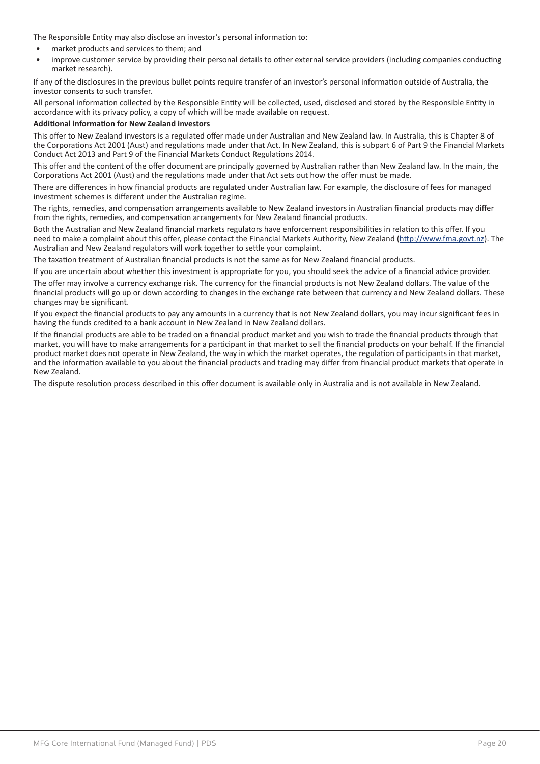The Responsible Entity may also disclose an investor's personal information to:

- market products and services to them; and
- improve customer service by providing their personal details to other external service providers (including companies conducting market research).

If any of the disclosures in the previous bullet points require transfer of an investor's personal information outside of Australia, the investor consents to such transfer.

All personal information collected by the Responsible Entity will be collected, used, disclosed and stored by the Responsible Entity in accordance with its privacy policy, a copy of which will be made available on request.

#### **Additional information for New Zealand investors**

This offer to New Zealand investors is a regulated offer made under Australian and New Zealand law. In Australia, this is Chapter 8 of the Corporations Act 2001 (Aust) and regulations made under that Act. In New Zealand, this is subpart 6 of Part 9 the Financial Markets Conduct Act 2013 and Part 9 of the Financial Markets Conduct Regulations 2014.

This offer and the content of the offer document are principally governed by Australian rather than New Zealand law. In the main, the Corporations Act 2001 (Aust) and the regulations made under that Act sets out how the offer must be made.

There are differences in how financial products are regulated under Australian law. For example, the disclosure of fees for managed investment schemes is different under the Australian regime.

The rights, remedies, and compensation arrangements available to New Zealand investors in Australian financial products may differ from the rights, remedies, and compensation arrangements for New Zealand financial products.

Both the Australian and New Zealand financial markets regulators have enforcement responsibilities in relation to this offer. If you need to make a complaint about this offer, please contact the Financial Markets Authority, New Zealand (http://www.fma.govt.nz). The Australian and New Zealand regulators will work together to settle your complaint.

The taxation treatment of Australian financial products is not the same as for New Zealand financial products.

If you are uncertain about whether this investment is appropriate for you, you should seek the advice of a financial advice provider.

The offer may involve a currency exchange risk. The currency for the financial products is not New Zealand dollars. The value of the financial products will go up or down according to changes in the exchange rate between that currency and New Zealand dollars. These changes may be significant.

If you expect the financial products to pay any amounts in a currency that is not New Zealand dollars, you may incur significant fees in having the funds credited to a bank account in New Zealand in New Zealand dollars.

If the financial products are able to be traded on a financial product market and you wish to trade the financial products through that market, you will have to make arrangements for a participant in that market to sell the financial products on your behalf. If the financial product market does not operate in New Zealand, the way in which the market operates, the regulation of participants in that market, and the information available to you about the financial products and trading may differ from financial product markets that operate in New Zealand.

The dispute resolution process described in this offer document is available only in Australia and is not available in New Zealand.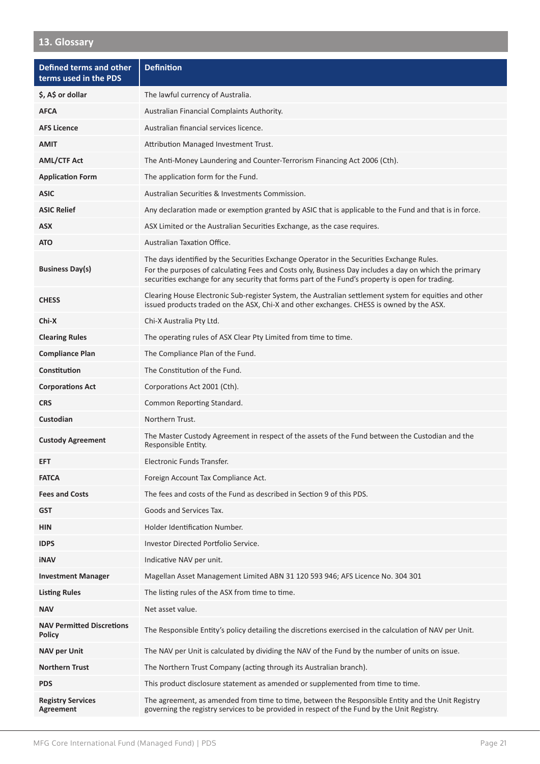# **13. Glossary**

| Defined terms and other<br>terms used in the PDS  | <b>Definition</b>                                                                                                                                                                                                                                                                                      |
|---------------------------------------------------|--------------------------------------------------------------------------------------------------------------------------------------------------------------------------------------------------------------------------------------------------------------------------------------------------------|
| \$, A\$ or dollar                                 | The lawful currency of Australia.                                                                                                                                                                                                                                                                      |
| <b>AFCA</b>                                       | Australian Financial Complaints Authority.                                                                                                                                                                                                                                                             |
| <b>AFS Licence</b>                                | Australian financial services licence.                                                                                                                                                                                                                                                                 |
| <b>AMIT</b>                                       | Attribution Managed Investment Trust.                                                                                                                                                                                                                                                                  |
| <b>AML/CTF Act</b>                                | The Anti-Money Laundering and Counter-Terrorism Financing Act 2006 (Cth).                                                                                                                                                                                                                              |
| <b>Application Form</b>                           | The application form for the Fund.                                                                                                                                                                                                                                                                     |
| <b>ASIC</b>                                       | Australian Securities & Investments Commission.                                                                                                                                                                                                                                                        |
| <b>ASIC Relief</b>                                | Any declaration made or exemption granted by ASIC that is applicable to the Fund and that is in force.                                                                                                                                                                                                 |
| <b>ASX</b>                                        | ASX Limited or the Australian Securities Exchange, as the case requires.                                                                                                                                                                                                                               |
| <b>ATO</b>                                        | Australian Taxation Office.                                                                                                                                                                                                                                                                            |
| <b>Business Day(s)</b>                            | The days identified by the Securities Exchange Operator in the Securities Exchange Rules.<br>For the purposes of calculating Fees and Costs only, Business Day includes a day on which the primary<br>securities exchange for any security that forms part of the Fund's property is open for trading. |
| <b>CHESS</b>                                      | Clearing House Electronic Sub-register System, the Australian settlement system for equities and other<br>issued products traded on the ASX, Chi-X and other exchanges. CHESS is owned by the ASX.                                                                                                     |
| Chi-X                                             | Chi-X Australia Pty Ltd.                                                                                                                                                                                                                                                                               |
| <b>Clearing Rules</b>                             | The operating rules of ASX Clear Pty Limited from time to time.                                                                                                                                                                                                                                        |
| <b>Compliance Plan</b>                            | The Compliance Plan of the Fund.                                                                                                                                                                                                                                                                       |
| Constitution                                      | The Constitution of the Fund.                                                                                                                                                                                                                                                                          |
| <b>Corporations Act</b>                           | Corporations Act 2001 (Cth).                                                                                                                                                                                                                                                                           |
| <b>CRS</b>                                        | Common Reporting Standard.                                                                                                                                                                                                                                                                             |
| Custodian                                         | Northern Trust.                                                                                                                                                                                                                                                                                        |
| <b>Custody Agreement</b>                          | The Master Custody Agreement in respect of the assets of the Fund between the Custodian and the<br>Responsible Entity.                                                                                                                                                                                 |
| <b>EFT</b>                                        | Electronic Funds Transfer.                                                                                                                                                                                                                                                                             |
| <b>FATCA</b>                                      | Foreign Account Tax Compliance Act.                                                                                                                                                                                                                                                                    |
| <b>Fees and Costs</b>                             | The fees and costs of the Fund as described in Section 9 of this PDS.                                                                                                                                                                                                                                  |
| <b>GST</b>                                        | Goods and Services Tax.                                                                                                                                                                                                                                                                                |
| <b>HIN</b>                                        | Holder Identification Number.                                                                                                                                                                                                                                                                          |
| <b>IDPS</b>                                       | Investor Directed Portfolio Service.                                                                                                                                                                                                                                                                   |
| <b>iNAV</b>                                       | Indicative NAV per unit.                                                                                                                                                                                                                                                                               |
| <b>Investment Manager</b>                         | Magellan Asset Management Limited ABN 31 120 593 946; AFS Licence No. 304 301                                                                                                                                                                                                                          |
| <b>Listing Rules</b>                              | The listing rules of the ASX from time to time.                                                                                                                                                                                                                                                        |
| <b>NAV</b>                                        | Net asset value.                                                                                                                                                                                                                                                                                       |
| <b>NAV Permitted Discretions</b><br><b>Policy</b> | The Responsible Entity's policy detailing the discretions exercised in the calculation of NAV per Unit.                                                                                                                                                                                                |
| <b>NAV per Unit</b>                               | The NAV per Unit is calculated by dividing the NAV of the Fund by the number of units on issue.                                                                                                                                                                                                        |
| <b>Northern Trust</b>                             | The Northern Trust Company (acting through its Australian branch).                                                                                                                                                                                                                                     |
| <b>PDS</b>                                        | This product disclosure statement as amended or supplemented from time to time.                                                                                                                                                                                                                        |
| <b>Registry Services</b><br>Agreement             | The agreement, as amended from time to time, between the Responsible Entity and the Unit Registry<br>governing the registry services to be provided in respect of the Fund by the Unit Registry.                                                                                                       |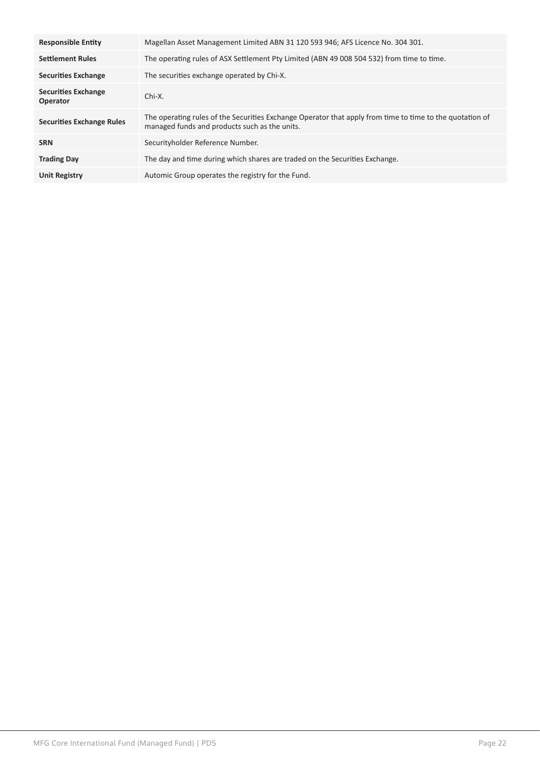| <b>Responsible Entity</b>              | Magellan Asset Management Limited ABN 31 120 593 946; AFS Licence No. 304 301.                                                                            |  |
|----------------------------------------|-----------------------------------------------------------------------------------------------------------------------------------------------------------|--|
| <b>Settlement Rules</b>                | The operating rules of ASX Settlement Pty Limited (ABN 49 008 504 532) from time to time.                                                                 |  |
| <b>Securities Exchange</b>             | The securities exchange operated by Chi-X.                                                                                                                |  |
| <b>Securities Exchange</b><br>Operator | Chi-X.                                                                                                                                                    |  |
| <b>Securities Exchange Rules</b>       | The operating rules of the Securities Exchange Operator that apply from time to time to the quotation of<br>managed funds and products such as the units. |  |
| <b>SRN</b>                             | Securityholder Reference Number.                                                                                                                          |  |
| <b>Trading Day</b>                     | The day and time during which shares are traded on the Securities Exchange.                                                                               |  |
| <b>Unit Registry</b>                   | Automic Group operates the registry for the Fund.                                                                                                         |  |